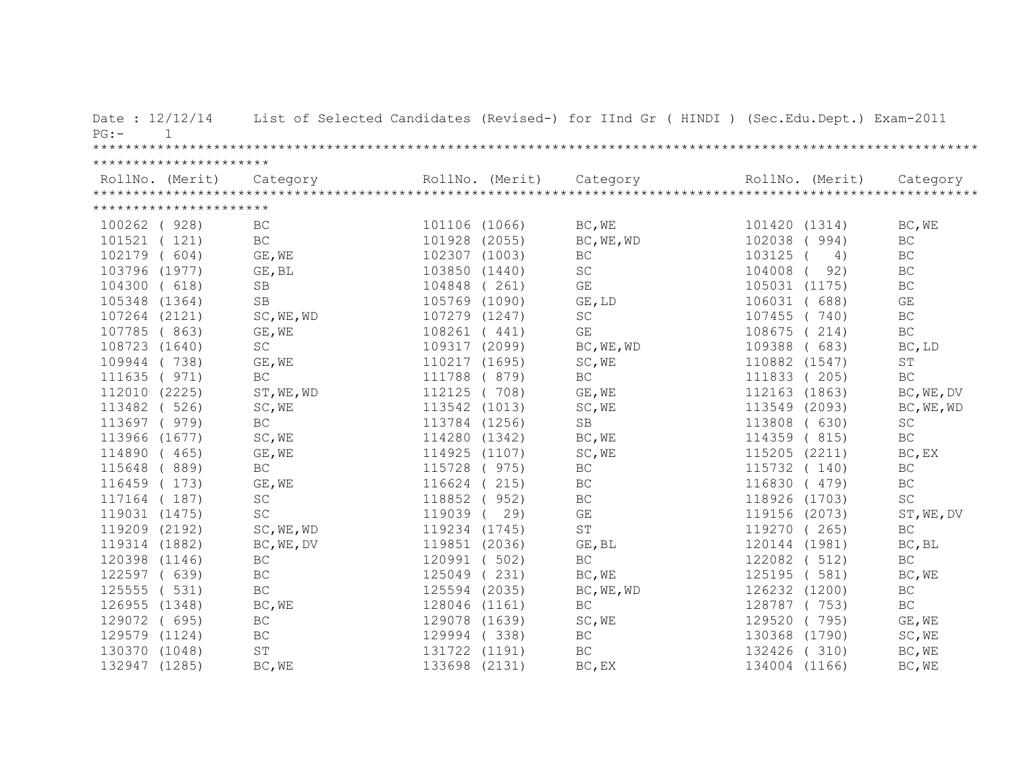| Date: 12/12/14<br>$\mathbf{1}$<br>$PG:$ - |                     |               |                 | List of Selected Candidates (Revised-) for IInd Gr ( HINDI ) (Sec.Edu.Dept.) Exam-2011 |                  |                     |
|-------------------------------------------|---------------------|---------------|-----------------|----------------------------------------------------------------------------------------|------------------|---------------------|
| **********************                    |                     |               |                 |                                                                                        |                  |                     |
| RollNo. (Merit)                           | Category            |               | RollNo. (Merit) | Category                                                                               | RollNo. (Merit)  | Category            |
| **********************                    |                     |               |                 |                                                                                        |                  |                     |
| 100262 ( 928)                             | BC                  | 101106 (1066) |                 | BC, WE                                                                                 | 101420 (1314)    | BC, WE              |
| 101521 (121)                              | $\operatorname{BC}$ | 101928 (2055) |                 | BC, WE, WD                                                                             | 102038<br>994)   | BC                  |
| 102179<br>(604)                           | GE, WE              | 102307 (1003) |                 | <b>BC</b>                                                                              | 103125<br>4)     | BC                  |
| 103796 (1977)                             | GE, BL              | 103850 (1440) |                 | SC                                                                                     | 92)<br>104008    | BC                  |
| 104300<br>(618)                           | SB                  | 104848        | (261)           | GE                                                                                     | (1175)<br>105031 | $\operatorname{BC}$ |
| 105348<br>(1364)                          | <b>SB</b>           | 105769 (1090) |                 | GE, LD                                                                                 | 106031<br>688)   | GE                  |
| 107264 (2121)                             | SC, WE, WD          | 107279 (1247) |                 | SC                                                                                     | 107455<br>740)   | BC                  |
| 107785 (863)                              | GE, WE              | 108261 (441)  |                 | GE                                                                                     | 108675<br>214)   | $\operatorname{BC}$ |
| 108723 (1640)                             | $\operatorname{SC}$ | 109317 (2099) |                 | BC, WE, WD                                                                             | 109388<br>(683)  | BC, LD              |
| 109944 (738)                              | GE, WE              | 110217 (1695) |                 | SC, WE                                                                                 | 110882 (1547)    | $\operatorname{ST}$ |
| 111635 ( 971)                             | <b>BC</b>           | 111788        | (879)           | <b>BC</b>                                                                              | 111833<br>(205)  | <b>BC</b>           |
| 112010 (2225)                             | ST, WE, WD          | 112125 (708)  |                 | GE, WE                                                                                 | (1863)<br>112163 | BC, WE, DV          |
| 113482 ( 526)                             | SC, WE              | 113542 (1013) |                 | SC, WE                                                                                 | 113549 (2093)    | BC, WE, WD          |
| 113697 ( 979)                             | BC                  | 113784 (1256) |                 | SB                                                                                     | 113808<br>(630)  | SC                  |
| 113966 (1677)                             | SC, WE              | 114280 (1342) |                 | BC, WE                                                                                 | 114359<br>(815)  | BC                  |
| 114890 (465)                              | GE, WE              | 114925 (1107) |                 | SC, WE                                                                                 | 115205<br>(2211) | BC, EX              |
| 115648 (889)                              | BC                  | 115728        | (975)           | BC                                                                                     | 115732<br>(140)  | BC                  |
| 116459 (173)                              | GE, WE              | 116624        | (215)           | BC                                                                                     | 116830<br>(479)  | <b>BC</b>           |
| 117164 (187)                              | $\operatorname{SC}$ | 118852        | 952)            | $\operatorname{BC}$                                                                    | 118926 (1703)    | $\operatorname{SC}$ |
| 119031 (1475)                             | SC                  | 119039        | 29)             | $\mathbb{G}\mathcal{E}$                                                                | 119156 (2073)    | ST, WE, DV          |
| 119209 (2192)                             | SC, WE, WD          | 119234 (1745) |                 | ST                                                                                     | 119270<br>(265)  | BC                  |
| 119314 (1882)                             | BC, WE, DV          | 119851 (2036) |                 | GE, BL                                                                                 | 120144 (1981)    | BC, BL              |
| 120398 (1146)                             | $\operatorname{BC}$ | 120991 (      | 502)            | $\operatorname{BC}$                                                                    | 122082 ( 512)    | $\operatorname{BC}$ |
| 122597 (639)                              | $\operatorname{BC}$ | 125049        | 231)            | BC, WE                                                                                 | 125195<br>(581)  | BC, WE              |
| 125555 ( 531)                             | $\operatorname{BC}$ | 125594 (2035) |                 | BC, WE, WD                                                                             | 126232 (1200)    | BC                  |
| 126955 (1348)                             | BC, WE              | 128046 (1161) |                 | $\operatorname{BC}$                                                                    | (753)<br>128787  | $\operatorname{BC}$ |
| 129072 ( 695)                             | $\operatorname{BC}$ | 129078 (1639) |                 | SC, WE                                                                                 | 129520<br>(795)  | GE, WE              |
| 129579 (1124)                             | $\operatorname{BC}$ | 129994        | (338)           | BC                                                                                     | 130368<br>(1790) | SC, WE              |
| 130370 (1048)                             | $\operatorname{ST}$ | 131722 (1191) |                 | <b>BC</b>                                                                              | 132426<br>(310)  | BC, WE              |
| 132947 (1285)                             | BC, WE              | 133698 (2131) |                 | BC, EX                                                                                 | 134004 (1166)    | BC, WE              |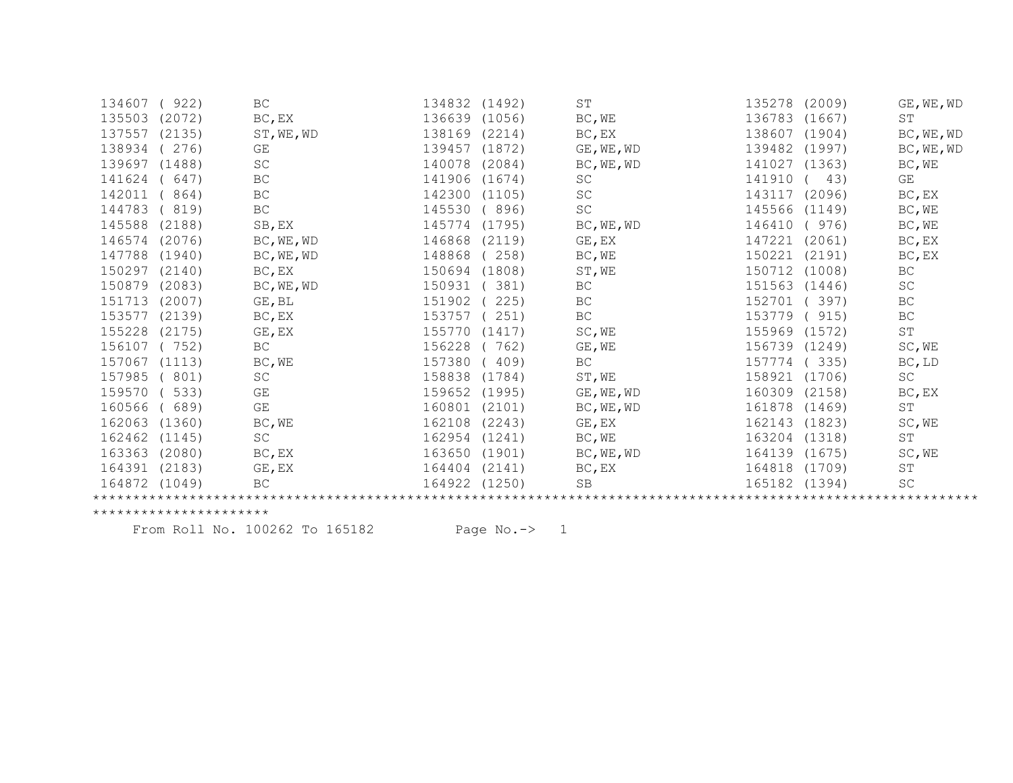| 134607 | (922)  | BC                  | 134832 | (1492) | ST                  | 135278        | (2009) | GE, WE, WD          |
|--------|--------|---------------------|--------|--------|---------------------|---------------|--------|---------------------|
| 135503 | (2072) | BC, EX              | 136639 | (1056) | BC, WE              | 136783        | (1667) | ST                  |
| 137557 | (2135) | ST, WE, WD          | 138169 | (2214) | BC, EX              | 138607        | (1904) | BC, WE, WD          |
| 138934 | 276)   | GE                  | 139457 | (1872) | GE, WE, WD          | 139482        | (1997) | BC, WE, WD          |
| 139697 | (1488) | SC                  | 140078 | (2084) | BC, WE, WD          | 141027        | (1363) | BC, WE              |
| 141624 | 647)   | $\operatorname{BC}$ | 141906 | (1674) | SC                  | 141910        | 43)    | GE                  |
| 142011 | 864)   | BC                  | 142300 | (1105) | SC                  | 143117        | (2096) | BC, EX              |
| 144783 | 819)   | BC                  | 145530 | 896)   | SC                  | 145566        | (1149) | BC, WE              |
| 145588 | (2188) | SB, EX              | 145774 | (1795) | BC, WE, WD          | 146410        | 976)   | BC, WE              |
| 146574 | (2076) | BC, WE, WD          | 146868 | (2119) | GE, EX              | 147221        | (2061) | BC, EX              |
| 147788 | (1940) | BC, WE, WD          | 148868 | 258)   | BC, WE              | 150221        | (2191) | BC, EX              |
| 150297 | (2140) | BC, EX              | 150694 | (1808) | ST, WE              | 150712        | (1008) | BC                  |
| 150879 | (2083) | BC, WE, WD          | 150931 | 381)   | BC                  | 151563        | (1446) | SC                  |
| 151713 | (2007) | GE, BL              | 151902 | 225)   | BC                  | 152701        | 397)   | BC                  |
| 153577 | (2139) | BC, EX              | 153757 | 251)   | $\operatorname{BC}$ | 153779        | 915)   | BC                  |
| 155228 | (2175) | GE, EX              | 155770 | (1417) | SC, WE              | 155969        | (1572) | $\mbox{ST}$         |
| 156107 | (752)  | BC                  | 156228 | 762)   | GE, WE              | 156739 (1249) |        | SC, WE              |
| 157067 | (1113) | BC, WE              | 157380 | 409)   | BC                  | 157774        | (335)  | BC, LD              |
| 157985 | 801)   | SC                  | 158838 | (1784) | ST, WE              | 158921        | (1706) | $\operatorname{SC}$ |
| 159570 | 533)   | GE                  | 159652 | (1995) | GE, WE, WD          | 160309        | (2158) | BC, EX              |
| 160566 | 689)   | GE                  | 160801 | (2101) | BC, WE, WD          | 161878        | (1469) | ST                  |
| 162063 | (1360) | BC, WE              | 162108 | (2243) | GE, EX              | 162143        | (1823) | SC, WE              |
| 162462 | (1145) | SC                  | 162954 | (1241) | BC, WE              | 163204        | (1318) | ST                  |
| 163363 | (2080) | BC, EX              | 163650 | (1901) | BC, WE, WD          | 164139        | (1675) | SC, WE              |
| 164391 | (2183) | GE, EX              | 164404 | (2141) | BC, EX              | 164818        | (1709) | $\operatorname{ST}$ |
| 164872 | (1049) | BC                  | 164922 | (1250) | <b>SB</b>           | 165182        | (1394) | SC                  |
|        |        |                     |        |        |                     |               |        |                     |

From Roll No. 100262 To 165182 Page No.-> 1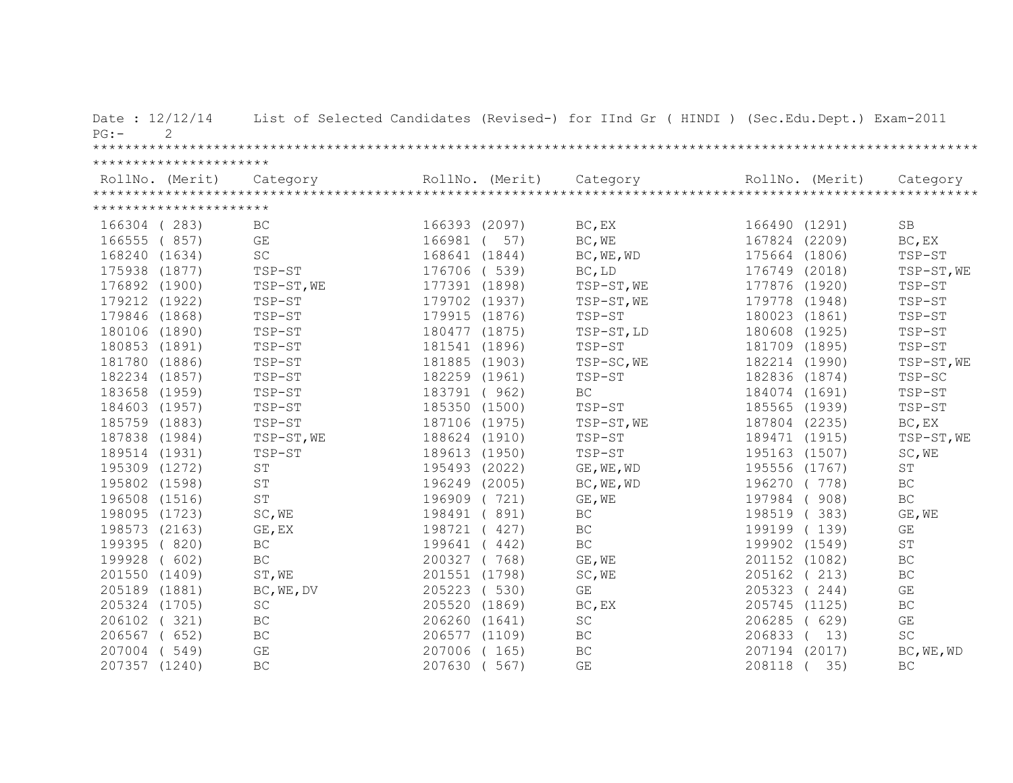| Date: 12/12/14<br>$PG:$ – | $\mathcal{L}$          |                      |               |                 | List of Selected Candidates (Revised-) for IInd Gr ( HINDI ) (Sec.Edu.Dept.) Exam-2011 |                 |        |                         |
|---------------------------|------------------------|----------------------|---------------|-----------------|----------------------------------------------------------------------------------------|-----------------|--------|-------------------------|
|                           |                        |                      |               |                 |                                                                                        |                 |        |                         |
|                           | ********************** |                      |               |                 |                                                                                        |                 |        |                         |
|                           | RollNo. (Merit)        | Category             |               | RollNo. (Merit) | Category                                                                               | RollNo. (Merit) |        | Category                |
|                           |                        |                      |               |                 |                                                                                        |                 |        |                         |
|                           | ********************** |                      |               |                 |                                                                                        |                 |        |                         |
| 166304 (283)              |                        | <b>BC</b>            | 166393 (2097) |                 | BC, EX                                                                                 | 166490 (1291)   |        | <b>SB</b>               |
| 166555 (857)              |                        | GE                   | 166981        | 57)             | BC, WE                                                                                 | 167824          | (2209) | BC, EX                  |
| 168240 (1634)             |                        | SC                   | 168641 (1844) |                 | BC, WE, WD                                                                             | 175664          | (1806) | TSP-ST                  |
| 175938 (1877)             |                        | TSP-ST               | 176706 ( 539) |                 | BC, LD                                                                                 | 176749 (2018)   |        | TSP-ST, WE              |
| 176892 (1900)             |                        | TSP-ST, WE           | 177391 (1898) |                 | TSP-ST, WE                                                                             | 177876 (1920)   |        | TSP-ST                  |
| 179212 (1922)             |                        | TSP-ST               | 179702 (1937) |                 | TSP-ST, WE                                                                             | 179778          | (1948) | TSP-ST                  |
| 179846 (1868)             |                        | TSP-ST               | 179915 (1876) |                 | TSP-ST                                                                                 | 180023          | (1861) | TSP-ST                  |
| 180106 (1890)             |                        | TSP-ST               | 180477 (1875) |                 | TSP-ST, LD                                                                             | 180608          | (1925) | TSP-ST                  |
| 180853 (1891)             |                        | TSP-ST               | 181541 (1896) |                 | TSP-ST                                                                                 | 181709 (1895)   |        | TSP-ST                  |
| 181780 (1886)             |                        | TSP-ST               | 181885 (1903) |                 | TSP-SC, WE                                                                             | 182214 (1990)   |        | TSP-ST, WE              |
| 182234 (1857)             |                        | TSP-ST               | 182259 (1961) |                 | TSP-ST                                                                                 | 182836 (1874)   |        | TSP-SC                  |
| 183658 (1959)             |                        | TSP-ST               | 183791 (962)  |                 | <b>BC</b>                                                                              | 184074 (1691)   |        | TSP-ST                  |
| 184603 (1957)             |                        | TSP-ST               | 185350 (1500) |                 | TSP-ST                                                                                 | 185565 (1939)   |        | TSP-ST                  |
| 185759 (1883)             |                        | TSP-ST               | 187106 (1975) |                 | TSP-ST, WE                                                                             | 187804 (2235)   |        | BC, EX                  |
| 187838 (1984)             |                        | TSP-ST, WE           | 188624 (1910) |                 | TSP-ST                                                                                 | 189471 (1915)   |        | TSP-ST, WE              |
| 189514 (1931)             |                        | TSP-ST               | 189613 (1950) |                 | TSP-ST                                                                                 | 195163 (1507)   |        | SC, WE                  |
| 195309 (1272)             |                        | ST                   | 195493 (2022) |                 | GE, WE, WD                                                                             | 195556 (1767)   |        | $\operatorname{ST}$     |
| 195802 (1598)             |                        | ST                   | 196249 (2005) |                 | BC, WE, WD                                                                             | 196270          | (778)  | <b>BC</b>               |
| 196508 (1516)             |                        | $\mbox{S}\,\mbox{T}$ | 196909 (721)  |                 | GE, WE                                                                                 | 197984 (908)    |        | $\operatorname{BC}$     |
| 198095 (1723)             |                        | SC, WE               | 198491 (891)  |                 | BC                                                                                     | 198519 (383)    |        | GE, WE                  |
| 198573 (2163)             |                        | GE, EX               | 198721 (427)  |                 | <b>BC</b>                                                                              | 199199 (139)    |        | GE                      |
| 199395 (820)              |                        | $\operatorname{BC}$  | 199641        | (442)           | BC                                                                                     | 199902 (1549)   |        | ST                      |
| 199928                    | (602)                  | $\operatorname{BC}$  | 200327 (768)  |                 | GE, WE                                                                                 | 201152 (1082)   |        | $\operatorname{BC}$     |
| 201550 (1409)             |                        | ST, WE               | 201551 (1798) |                 | SC, WE                                                                                 | 205162 (213)    |        | $\operatorname{BC}$     |
| 205189 (1881)             |                        | BC, WE, DV           | 205223        | (530)           | GE                                                                                     | 205323          | (244)  | GE                      |
| 205324 (1705)             |                        | $\operatorname{SC}$  | 205520 (1869) |                 | BC, EX                                                                                 | 205745 (1125)   |        | $\operatorname{BC}$     |
| 206102 (321)              |                        | $\operatorname{BC}$  | 206260 (1641) |                 | SC                                                                                     | 206285          | (629)  | $\mathbb{G}\mathcal{E}$ |
| 206567 ( 652)             |                        | $\operatorname{BC}$  | 206577 (1109) |                 | <b>BC</b>                                                                              | 206833          | 13)    | $\operatorname{SC}$     |
| 207004                    | (549)                  | GE                   | 207006        | (165)           | BC                                                                                     | 207194 (2017)   |        | BC, WE, WD              |
| 207357 (1240)             |                        | BC                   | 207630        | (567)           | GE                                                                                     | 208118          | 35)    | <b>BC</b>               |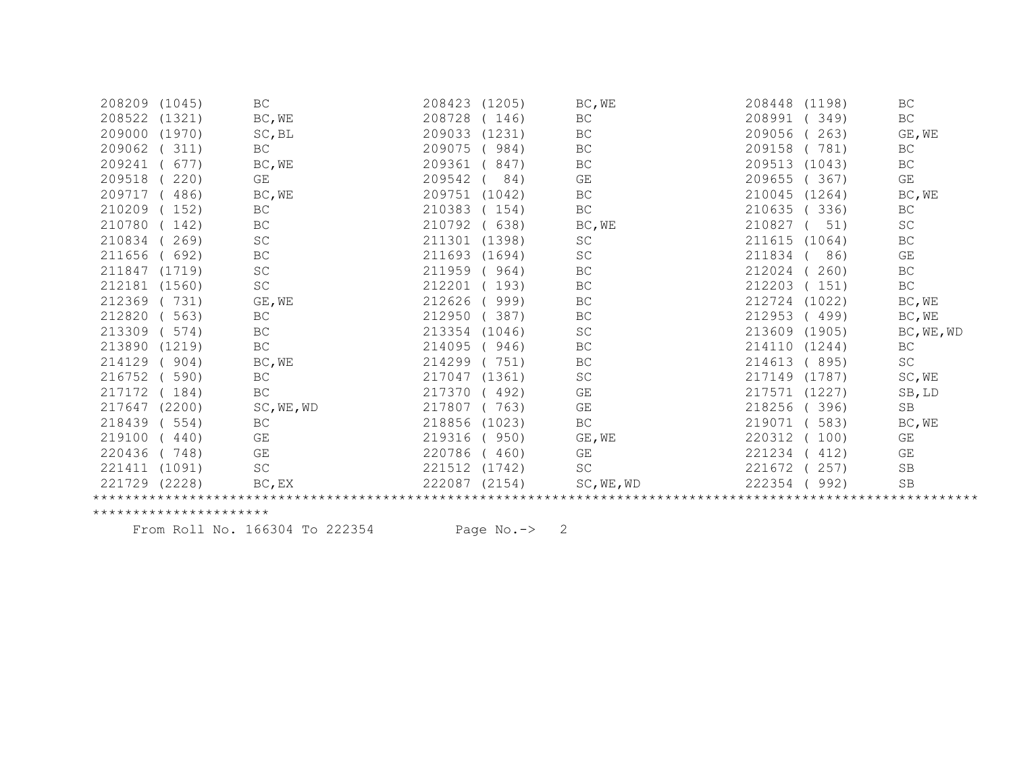| 208209<br>(1045) | BC                  | 208423<br>(1205) | BC, WE              | 208448<br>(1198) | BC                  |
|------------------|---------------------|------------------|---------------------|------------------|---------------------|
| 208522<br>(1321) | BC, WE              | 208728<br>146)   | BC                  | 208991<br>349)   | BC                  |
| 209000<br>(1970) | SC, BL              | 209033<br>(1231) | <b>BC</b>           | 209056<br>263)   | GE, WE              |
| 209062<br>311)   | BC                  | 209075<br>984)   | BC                  | 781)<br>209158   | BC                  |
| 209241<br>677)   | BC, WE              | 209361<br>847)   | BC                  | 209513<br>(1043) | BC                  |
| 209518<br>220)   | GE                  | 209542<br>84)    | GE                  | 209655<br>367)   | GE                  |
| 209717<br>486)   | BC, WE              | 209751<br>(1042) | BC                  | 210045<br>(1264) | BC, WE              |
| 210209<br>152)   | BC                  | 210383<br>154)   | $\operatorname{BC}$ | 210635<br>336)   | BC                  |
| 142)<br>210780   | BC                  | 210792<br>638)   | BC, WE              | 210827<br>51)    | <b>SC</b>           |
| 210834<br>269)   | SC                  | 211301<br>(1398) | SC                  | 211615<br>(1064) | BC                  |
| 211656<br>692)   | BC                  | 211693<br>(1694) | SC                  | 211834<br>86)    | GE                  |
| 211847<br>(1719) | SC                  | 211959<br>964)   | BC                  | 212024<br>260)   | $\operatorname{BC}$ |
| 212181<br>(1560) | SC                  | 212201<br>193)   | BC                  | 212203<br>151)   | BC                  |
| 212369<br>731)   | GE, WE              | 212626<br>999)   | BC                  | 212724<br>(1022) | BC, WE              |
| 212820<br>563)   | $\operatorname{BC}$ | 212950<br>387)   | BC                  | 212953<br>(499)  | BC, WE              |
| 213309<br>574)   | $\operatorname{BC}$ | 213354<br>(1046) | SC                  | 213609<br>(1905) | BC, WE, WD          |
| 213890<br>(1219) | $\operatorname{BC}$ | 214095<br>946)   | BC                  | 214110<br>(1244) | BC                  |
| 214129<br>904)   | BC, WE              | 214299<br>751)   | BC                  | 214613<br>895)   | SC                  |
| 216752<br>590)   | BC                  | 217047<br>(1361) | SC                  | 217149<br>(1787) | SC, WE              |
| 217172<br>184)   | BC                  | 217370<br>492)   | GE                  | 217571<br>(1227) | SB, LD              |
| 217647<br>(2200) | SC, WE, WD          | 217807<br>763)   | GE                  | 218256<br>396)   | $\operatorname{SB}$ |
| 218439<br>554)   | BC                  | 218856<br>(1023) | BC                  | 219071<br>583)   | BC, WE              |
| 219100<br>440)   | GE                  | 219316<br>950)   | GE, WE              | 220312<br>100)   | GE                  |
| 220436<br>748)   | GE                  | 220786<br>460)   | GE                  | 221234<br>412)   | GE                  |
| (1091)<br>221411 | SC                  | 221512<br>(1742) | SC                  | 257)<br>221672   | SB                  |
| 221729<br>(2228) | BC, EX              | 222087<br>(2154) | SC, WE, WD          | 222354<br>992)   | <b>SB</b>           |
|                  |                     |                  |                     |                  |                     |

From Roll No. 166304 To 222354 Page No.-> 2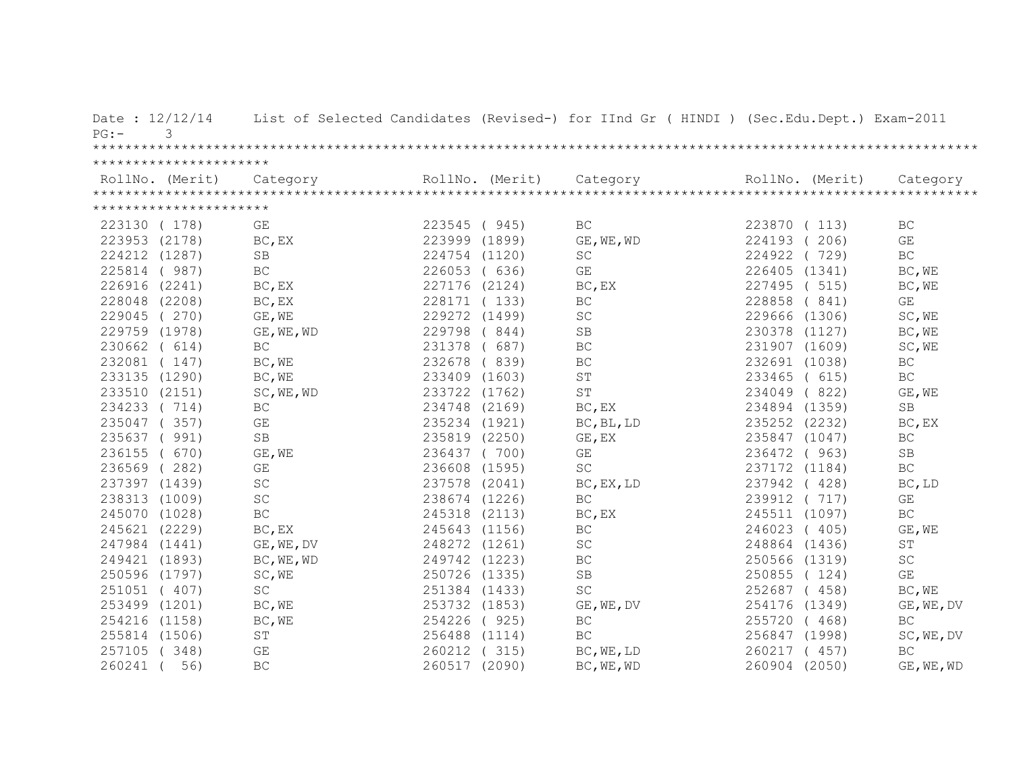| Date: 12/12/14<br>3<br>$PG: -$ |                        |                     |               |                 | List of Selected Candidates (Revised-) for IInd Gr ( HINDI ) (Sec.Edu.Dept.) Exam-2011 |                 |        |                             |
|--------------------------------|------------------------|---------------------|---------------|-----------------|----------------------------------------------------------------------------------------|-----------------|--------|-----------------------------|
|                                |                        |                     |               |                 |                                                                                        |                 |        |                             |
|                                | ********************** |                     |               |                 |                                                                                        |                 |        |                             |
| RollNo. (Merit)                |                        | Category            |               | RollNo. (Merit) | Category                                                                               | RollNo. (Merit) |        | Category                    |
|                                |                        |                     |               |                 |                                                                                        |                 |        |                             |
|                                | ********************** |                     |               |                 |                                                                                        |                 |        |                             |
| 223130 (178)                   |                        | GE                  | 223545 (945)  |                 | BC                                                                                     | 223870 (113)    |        | BC                          |
| 223953 (2178)                  |                        | BC, EX              | 223999 (1899) |                 | GE, WE, WD                                                                             | 224193          | 206)   | GE                          |
| 224212 (1287)                  |                        | <b>SB</b>           | 224754 (1120) |                 | SC                                                                                     | 224922          | 729)   | BC                          |
| 225814                         | (987)                  | $\operatorname{BC}$ | 226053 (636)  |                 | GE                                                                                     | 226405          | (1341) | BC, WE                      |
| 226916 (2241)                  |                        | BC, EX              | 227176 (2124) |                 | BC, EX                                                                                 | 227495          | (515)  | BC, WE                      |
| 228048 (2208)                  |                        | BC, EX              | 228171 (133)  |                 | <b>BC</b>                                                                              | 228858          | (841)  | GE                          |
| 229045 (270)                   |                        | GE, WE              | 229272 (1499) |                 | SC                                                                                     | 229666 (1306)   |        | SC, WE                      |
| 229759 (1978)                  |                        | GE, WE, WD          | 229798        | (844)           | SB                                                                                     | 230378 (1127)   |        | BC, WE                      |
| 230662 ( 614)                  |                        | BC                  | 231378        | (687)           | BC                                                                                     | 231907 (1609)   |        | SC, WE                      |
| 232081 (147)                   |                        | BC, WE              | 232678        | (839)           | $\operatorname{BC}$                                                                    | 232691 (1038)   |        | BC                          |
| 233135 (1290)                  |                        | BC, WE              | 233409 (1603) |                 | ST                                                                                     | 233465          | (615)  | $\operatorname{BC}$         |
| 233510 (2151)                  |                        | SC, WE, WD          | 233722 (1762) |                 | ST                                                                                     | 234049          | (822)  | GE, WE                      |
| 234233 (714)                   |                        | BC                  | 234748 (2169) |                 | BC, EX                                                                                 | 234894 (1359)   |        | <b>SB</b>                   |
| 235047 (357)                   |                        | GE                  | 235234 (1921) |                 | BC, BL, LD                                                                             | 235252 (2232)   |        | BC, EX                      |
| 235637 ( 991)                  |                        | SB                  | 235819 (2250) |                 | GE, EX                                                                                 | 235847 (1047)   |        | BC                          |
| 236155 (                       | 670)                   | GE, WE              | 236437 (700)  |                 | GE                                                                                     | 236472 (963)    |        | SB                          |
| 236569 (282)                   |                        | GE                  | 236608 (1595) |                 | SC                                                                                     | 237172 (1184)   |        | BC                          |
| 237397 (1439)                  |                        | $\operatorname{SC}$ | 237578 (2041) |                 | BC, EX, LD                                                                             | 237942          | (428)  | BC, LD                      |
| 238313 (1009)                  |                        | SC                  | 238674 (1226) |                 | BC                                                                                     | 239912          | (717)  | GE                          |
| 245070 (1028)                  |                        | $\operatorname{BC}$ | 245318 (2113) |                 | BC, EX                                                                                 | 245511 (1097)   |        | $\operatorname{BC}$         |
| 245621 (2229)                  |                        | BC, EX              | 245643 (1156) |                 | $\operatorname{BC}$                                                                    | 246023 (405)    |        | GE, WE                      |
| 247984 (1441)                  |                        | GE, WE, DV          | 248272 (1261) |                 | SC                                                                                     | 248864 (1436)   |        | ST                          |
| 249421 (1893)                  |                        | BC, WE, WD          | 249742 (1223) |                 | $\operatorname{BC}$                                                                    | 250566 (1319)   |        | $\protect\operatorname{SC}$ |
| 250596 (1797)                  |                        | SC, WE              | 250726 (1335) |                 | SB                                                                                     | 250855 (124)    |        | $\mathbb{G}\mathcal{E}$     |
| 251051 ( 407)                  |                        | $\operatorname{SC}$ | 251384 (1433) |                 | SC                                                                                     | 252687 (458)    |        | BC, WE                      |
| 253499 (1201)                  |                        | BC, WE              | 253732 (1853) |                 | GE, WE, DV                                                                             | 254176 (1349)   |        | GE, WE, DV                  |
| 254216 (1158)                  |                        | BC, WE              | 254226        | (925)           | $\operatorname{BC}$                                                                    | 255720          | (468)  | $\operatorname{BC}$         |
| 255814 (1506)                  |                        | $\operatorname{ST}$ | 256488 (1114) |                 | BC                                                                                     | 256847 (1998)   |        | SC, WE, DV                  |
| 257105 (348)                   |                        | GE                  | 260212 (315)  |                 | BC, WE, LD                                                                             | 260217 ( 457)   |        | <b>BC</b>                   |
| 260241                         | 56)                    | BC                  | 260517 (2090) |                 | BC, WE, WD                                                                             | 260904 (2050)   |        | GE, WE, WD                  |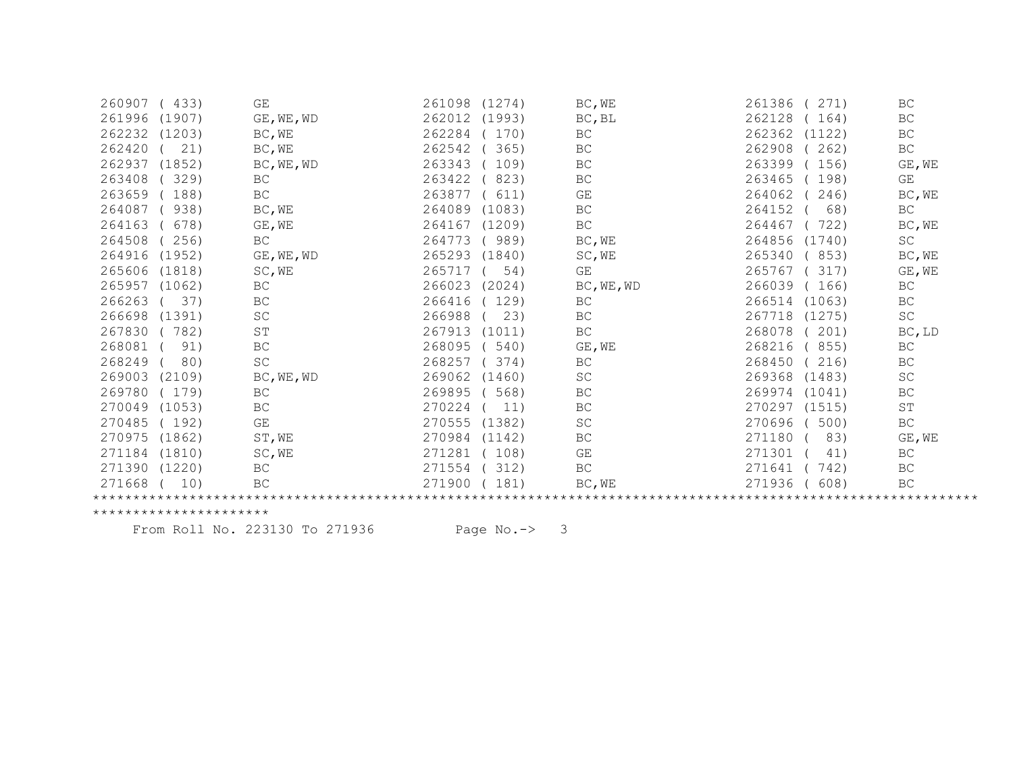| 260907<br>433)   | GE                  | 261098<br>(1274) | BC, WE              | 261386<br>271)   | BC                  |
|------------------|---------------------|------------------|---------------------|------------------|---------------------|
| 261996<br>(1907) | GE, WE, WD          | 262012<br>(1993) | BC, BL              | 262128<br>164)   | $\operatorname{BC}$ |
| 262232<br>(1203) | BC, WE              | 262284<br>170)   | BC                  | 262362<br>(1122) | BC                  |
| 262420<br>21)    | BC, WE              | 262542<br>365)   | BC                  | 262908<br>262)   | $\operatorname{BC}$ |
| 262937<br>(1852) | BC, WE, WD          | 263343<br>109)   | BC                  | 263399<br>156)   | GE, WE              |
| 263408<br>329)   | BC                  | 263422<br>823)   | BC                  | 263465<br>198)   | GE                  |
| 263659<br>188)   | $\operatorname{BC}$ | 263877<br>611)   | GE                  | 264062<br>246)   | BC, WE              |
| 264087<br>938)   | BC, WE              | 264089<br>(1083) | $\operatorname{BC}$ | 264152<br>68)    | $\operatorname{BC}$ |
| 264163<br>678)   | GE, WE              | 264167<br>(1209) | BC                  | 264467<br>722)   | BC, WE              |
| 264508<br>256)   | <b>BC</b>           | 264773<br>989)   | BC, WE              | 264856<br>(1740) | SC                  |
| 264916<br>(1952) | GE, WE, WD          | 265293<br>(1840) | SC, WE              | 265340<br>853)   | BC, WE              |
| 265606<br>(1818) | SC, WE              | 265717<br>54)    | GE                  | 265767<br>317)   | GE, WE              |
| 265957<br>(1062) | $\operatorname{BC}$ | 266023<br>(2024) | BC, WE, WD          | 266039<br>166)   | BC                  |
| 37)<br>266263    | BC                  | 266416<br>129)   | BC                  | 266514<br>(1063) | BC                  |
| 266698<br>(1391) | SC                  | 266988<br>23)    | $\operatorname{BC}$ | 267718<br>(1275) | $\operatorname{SC}$ |
| 267830<br>782)   | ST                  | 267913<br>(1011) | $\operatorname{BC}$ | 268078<br>201)   | $BC$ , LD           |
| 268081<br>91)    | BC                  | 268095<br>540)   | GE, WE              | 268216<br>855)   | BC                  |
| 268249<br>80)    | SC                  | 268257<br>374)   | BC                  | 268450<br>216)   | BC                  |
| 269003<br>(2109) | BC, WE, WD          | 269062<br>(1460) | SC                  | 269368<br>(1483) | SC                  |
| 269780<br>(179)  | $\operatorname{BC}$ | 269895<br>568)   | BC                  | 269974<br>(1041) | $\operatorname{BC}$ |
| 270049<br>(1053) | $\operatorname{BC}$ | 270224<br>11)    | BC                  | 270297<br>(1515) | ST                  |
| 270485<br>(192)  | GE                  | 270555<br>(1382) | SC                  | 270696<br>500)   | BC                  |
| 270975<br>(1862) | ST, WE              | 270984<br>(1142) | BC                  | 271180<br>83)    | GE, WE              |
| (1810)<br>271184 | SC, WE              | 271281<br>108)   | GE                  | 271301<br>41)    | BC                  |
| 271390 (1220)    | $\operatorname{BC}$ | 271554<br>312)   | BC                  | 271641<br>742)   | BC                  |
| 271668<br>10)    | BC                  | 271900<br>181)   | BC, WE              | 271936<br>608)   | BC                  |
|                  |                     |                  |                     |                  |                     |
|                  |                     |                  |                     |                  |                     |

From Roll No. 223130 To 271936 Page No.-> 3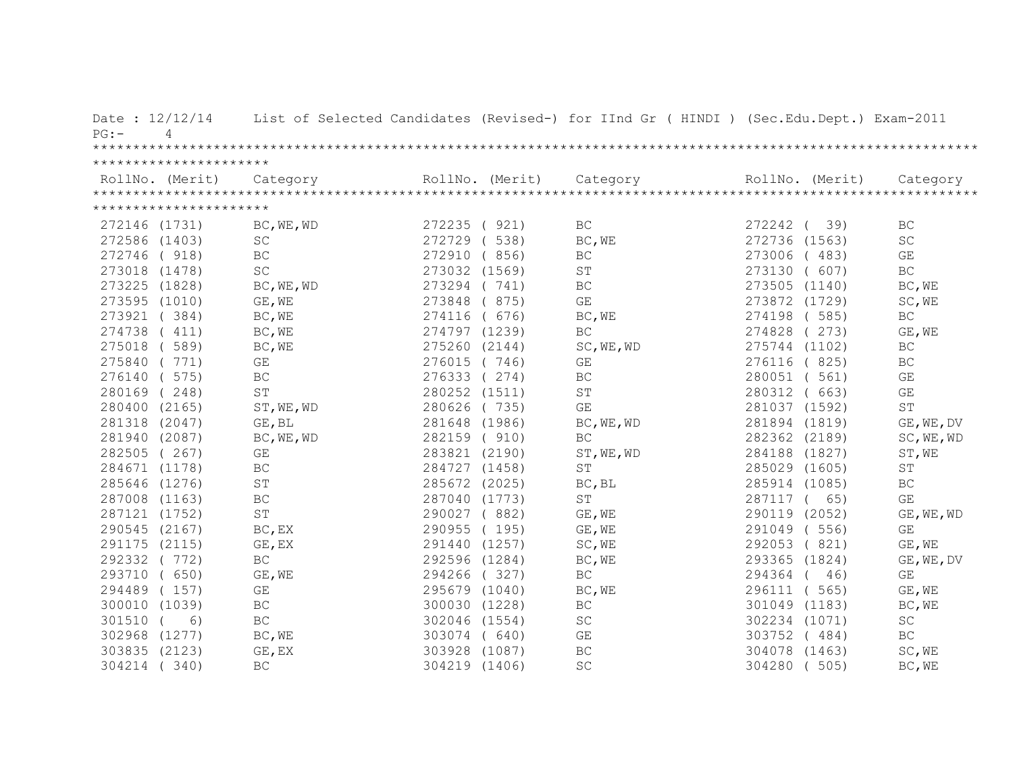| Date: $12/12/14$<br>$PG: -$<br>4 |                         |               |                 | List of Selected Candidates (Revised-) for IInd Gr ( HINDI ) (Sec.Edu.Dept.) Exam-2011 |                  |                         |
|----------------------------------|-------------------------|---------------|-----------------|----------------------------------------------------------------------------------------|------------------|-------------------------|
|                                  |                         |               |                 |                                                                                        |                  |                         |
| **********************           |                         |               |                 |                                                                                        |                  |                         |
|                                  |                         |               | RollNo. (Merit) |                                                                                        | RollNo. (Merit)  |                         |
| **********************           |                         |               |                 |                                                                                        |                  |                         |
| 272146 (1731)                    | BC, WE, WD              | 272235 ( 921) |                 | BC                                                                                     | 272242<br>39)    | BC                      |
| 272586 (1403)                    | SC                      | 272729        | 538)            | BC, WE                                                                                 | (1563)<br>272736 | <b>SC</b>               |
| 272746<br>(918)                  | $\operatorname{BC}$     | 272910        | (856)           | $\operatorname{BC}$                                                                    | 273006<br>(483)  | $\mathbb{G}\mathcal{E}$ |
| 273018 (1478)                    | <b>SC</b>               | 273032 (1569) |                 | ST                                                                                     | 273130<br>(607)  | <b>BC</b>               |
| 273225<br>(1828)                 | BC, WE, WD              | 273294 (741)  |                 | BC                                                                                     | 273505 (1140)    | BC, WE                  |
| 273595 (1010)                    | GE, WE                  | 273848        | (875)           | $\mathbb{G}\mathcal{E}$                                                                | 273872 (1729)    | SC, WE                  |
| 273921 (384)                     | BC, WE                  | 274116        | (676)           | BC, WE                                                                                 | 274198<br>(585)  | <b>BC</b>               |
| 274738<br>(411)                  | BC, WE                  | 274797 (1239) |                 | BC                                                                                     | 274828<br>(273)  | GE, WE                  |
| 275018<br>(589)                  | BC, WE                  | 275260 (2144) |                 | SC, WE, WD                                                                             | 275744 (1102)    | BC                      |
| 275840 (771)                     | GE                      | 276015 (746)  |                 | GE                                                                                     | 276116<br>(825)  | BC                      |
| 276140 ( 575)                    | BC                      | 276333 (274)  |                 | <b>BC</b>                                                                              | 280051<br>(561)  | GE                      |
| 280169 (248)                     | ST                      | 280252 (1511) |                 | ST                                                                                     | 280312<br>(663)  | GE                      |
| 280400 (2165)                    | ST, WE, WD              | 280626 (735)  |                 | GE                                                                                     | 281037 (1592)    | ST                      |
| 281318 (2047)                    | GE, BL                  | 281648 (1986) |                 | BC, WE, WD                                                                             | 281894 (1819)    | GE, WE, DV              |
| 281940 (2087)                    | BC, WE, WD              | 282159 ( 910) |                 | $\operatorname{BC}$                                                                    | 282362 (2189)    | SC, WE, WD              |
| 282505 (267)                     | $\mathbb{G}\mathcal{E}$ | 283821 (2190) |                 | ST, WE, WD                                                                             | 284188 (1827)    | ST, WE                  |
| 284671 (1178)                    | BC                      | 284727 (1458) |                 | ST                                                                                     | 285029 (1605)    | ST                      |
| 285646 (1276)                    | $\mbox{S}\,\mbox{T}$    | 285672 (2025) |                 | BC, BL                                                                                 | 285914 (1085)    | $\operatorname{BC}$     |
| 287008 (1163)                    | $\operatorname{BC}$     | 287040 (1773) |                 | <b>ST</b>                                                                              | 287117 (<br>65)  | GE                      |
| 287121 (1752)                    | ST                      | 290027 (882)  |                 | GE, WE                                                                                 | 290119<br>(2052) | GE, WE, WD              |
| 290545 (2167)                    | BC, EX                  | 290955        | (195)           | GE, WE                                                                                 | (556)<br>291049  | GE                      |
| 291175 (2115)                    | GE, EX                  | 291440 (1257) |                 | SC, WE                                                                                 | (821)<br>292053  | GE, WE                  |
| 292332 (772)                     | BC                      | 292596 (1284) |                 | BC, WE                                                                                 | 293365 (1824)    | GE, WE, DV              |
| 293710<br>(650)                  | GE, WE                  | 294266        | (327)           | $\operatorname{BC}$                                                                    | 294364<br>46)    | GE                      |
| 294489<br>(157)                  | $\mathbb{G}\mathcal{E}$ | 295679 (1040) |                 | BC, WE                                                                                 | 296111<br>(565)  | GE, WE                  |
| 300010<br>(1039)                 | $\operatorname{BC}$     | 300030 (1228) |                 | <b>BC</b>                                                                              | 301049<br>(1183) | BC, WE                  |
| 301510<br>6)                     | $\operatorname{BC}$     | 302046 (1554) |                 | $\operatorname{SC}$                                                                    | 302234 (1071)    | $\operatorname{SC}$     |
| 302968<br>(1277)                 | BC, WE                  | 303074 ( 640) |                 | GE                                                                                     | 303752<br>(484)  | $\operatorname{BC}$     |
| 303835<br>(2123)                 | GE, EX                  | 303928        | (1087)          | BC                                                                                     | 304078<br>(1463) | SC, WE                  |
| 304214<br>(340)                  | $\operatorname{BC}$     | 304219 (1406) |                 | $\operatorname{SC}$                                                                    | 304280<br>(505)  | BC, WE                  |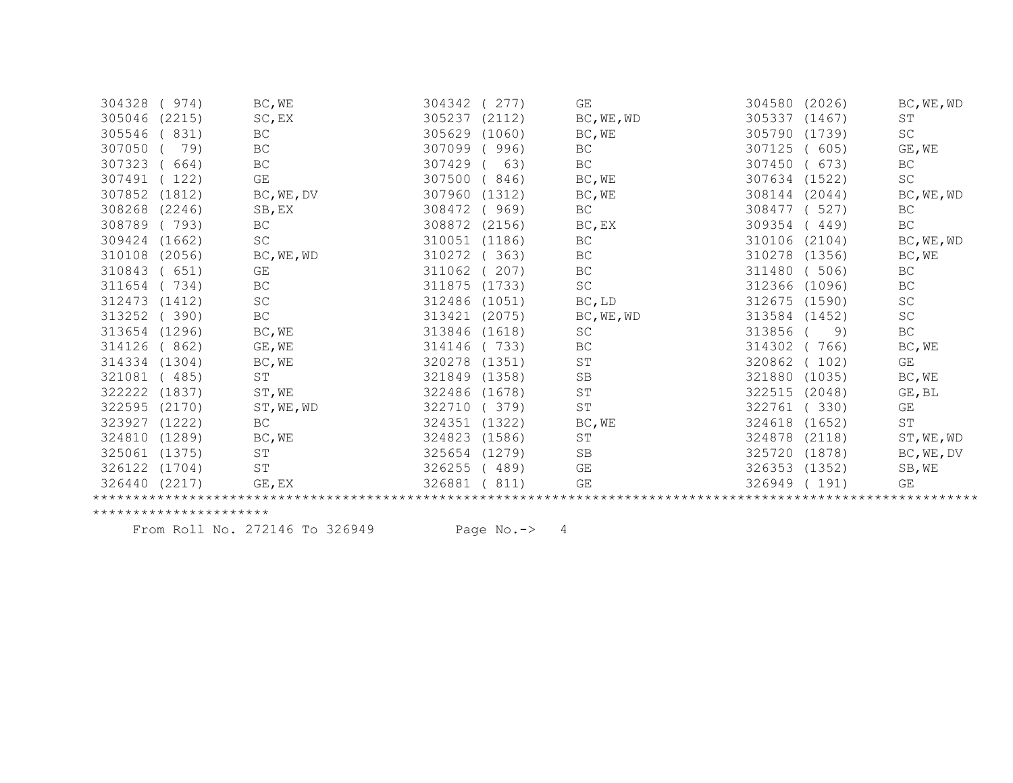| 304328        | 974)   | BC, WE              | 304342 | (277)  | GE                   | 304580 | (2026) | BC, WE, WD          |
|---------------|--------|---------------------|--------|--------|----------------------|--------|--------|---------------------|
| 305046        | (2215) | SC, EX              | 305237 | (2112) | BC, WE, WD           | 305337 | (1467) | ST                  |
| 305546        | 831)   | $\operatorname{BC}$ | 305629 | (1060) | BC, WE               | 305790 | (1739) | $\operatorname{SC}$ |
| 307050        | 79)    | $\operatorname{BC}$ | 307099 | 996)   | BC                   | 307125 | 605)   | GE, WE              |
| 307323        | 664)   | BC                  | 307429 | 63)    | $\operatorname{BC}$  | 307450 | 673)   | BC                  |
| 307491        | (122)  | GE                  | 307500 | 846)   | BC, WE               | 307634 | (1522) | SC                  |
| 307852        | (1812) | BC, WE, DV          | 307960 | (1312) | BC, WE               | 308144 | (2044) | BC, WE, WD          |
| 308268        | (2246) | SB, EX              | 308472 | 969)   | BC                   | 308477 | 527)   | BC                  |
| 308789        | (793)  | $\operatorname{BC}$ | 308872 | (2156) | BC, EX               | 309354 | 449)   | ВC                  |
| 309424 (1662) |        | SC                  | 310051 | (1186) | BC                   | 310106 | (2104) | BC, WE, WD          |
| 310108        | (2056) | BC, WE, WD          | 310272 | 363)   | BC                   | 310278 | (1356) | BC, WE              |
| 310843        | (651)  | GE                  | 311062 | 207)   | BC                   | 311480 | (506)  | $\operatorname{BC}$ |
| 311654        | 734)   | BC                  | 311875 | (1733) | SC                   | 312366 | (1096) | BC                  |
| 312473 (1412) |        | SC                  | 312486 | (1051) | BC, LD               | 312675 | (1590) | SC                  |
| 313252        | (390)  | $\operatorname{BC}$ | 313421 | (2075) | BC, WE, WD           | 313584 | (1452) | $\operatorname{SC}$ |
| 313654 (1296) |        | BC, WE              | 313846 | (1618) | SC                   | 313856 | 9)     | BC                  |
| 314126        | (862)  | GE, WE              | 314146 | 733)   | $\operatorname{BC}$  | 314302 | 766)   | BC, WE              |
| 314334 (1304) |        | BC, WE              | 320278 | (1351) | SΤ                   | 320862 | 102)   | GE                  |
| 321081        | (485)  | ST                  | 321849 | (1358) | SB                   | 321880 | (1035) | BC, WE              |
| 322222        | (1837) | ST, WE              | 322486 | (1678) | $\operatorname{ST}$  | 322515 | (2048) | GE, BL              |
| 322595        | (2170) | ST, WE, WD          | 322710 | (379)  | $\mbox{S}\,\mbox{T}$ | 322761 | (330)  | GE                  |
| 323927        | (1222) | BC                  | 324351 | (1322) | BC, WE               | 324618 | (1652) | ST                  |
| 324810        | (1289) | BC, WE              | 324823 | (1586) | ST                   | 324878 | (2118) | ST, WE, WD          |
| 325061        | (1375) | ST                  | 325654 | (1279) | <b>SB</b>            | 325720 | (1878) | BC, WE, DV          |
| 326122        | (1704) | ST                  | 326255 | 489)   | GE                   | 326353 | (1352) | SB, WE              |
| 326440        | (2217) | GE, EX              | 326881 | 811)   | GE                   | 326949 | 191)   | GE                  |
|               |        |                     |        |        |                      |        |        |                     |

From Roll No. 272146 To 326949 Page No.-> 4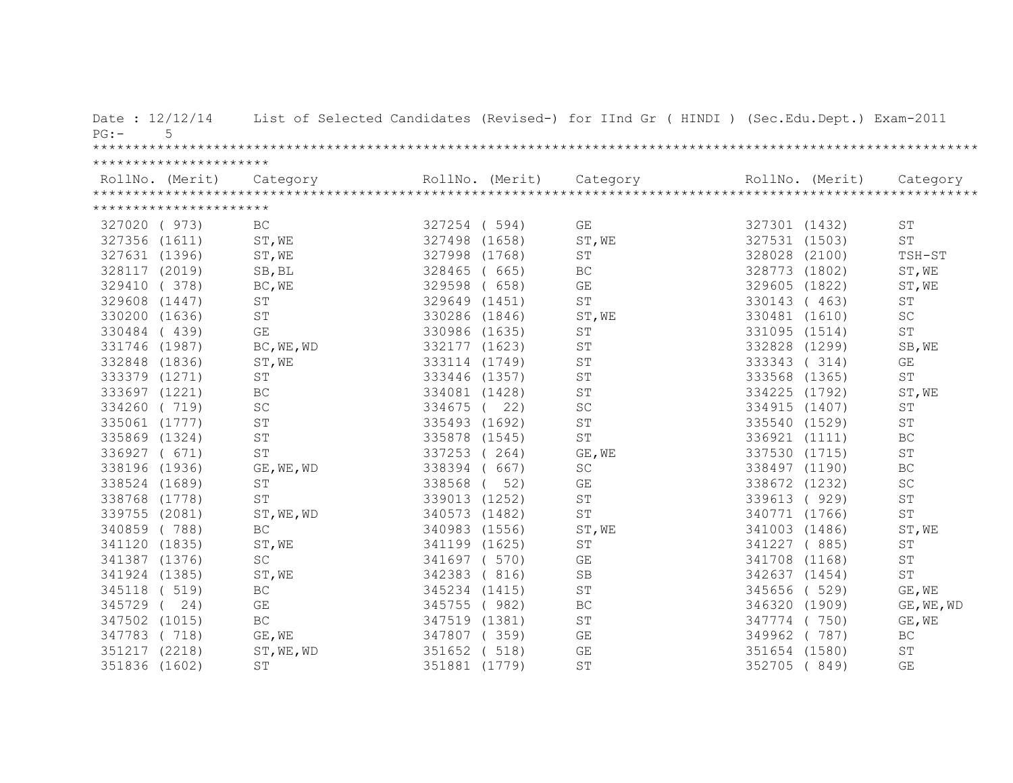| Date: 12/12/14<br>PG: | 5                      |                         |               |                 | List of Selected Candidates (Revised-) for IInd Gr ( HINDI ) (Sec.Edu.Dept.) Exam-2011 |               |                 |                     |
|-----------------------|------------------------|-------------------------|---------------|-----------------|----------------------------------------------------------------------------------------|---------------|-----------------|---------------------|
|                       |                        |                         |               |                 |                                                                                        |               |                 |                     |
|                       | ********************** |                         |               |                 |                                                                                        |               |                 |                     |
|                       | RollNo. (Merit)        | Category                |               | RollNo. (Merit) | Category                                                                               |               | RollNo. (Merit) | Category            |
|                       |                        |                         |               |                 |                                                                                        |               |                 |                     |
|                       | ********************** |                         |               |                 |                                                                                        |               |                 |                     |
| 327020 ( 973)         |                        | <b>BC</b>               | 327254 (594)  |                 | GE                                                                                     | 327301 (1432) |                 | <b>ST</b>           |
| 327356 (1611)         |                        | ST, WE                  | 327498 (1658) |                 | ST, WE                                                                                 | 327531 (1503) |                 | $\mbox{ST}$         |
| 327631 (1396)         |                        | $\texttt{ST,WE}$        | 327998        | (1768)          | ST                                                                                     | 328028 (2100) |                 | TSH-ST              |
| 328117 (2019)         |                        | SB, BL                  | 328465        | (665)           | BC                                                                                     | 328773 (1802) |                 | ST, WE              |
| 329410                | (378)                  | BC, WE                  | 329598        | (658)           | GE                                                                                     | 329605 (1822) |                 | ST, WE              |
| 329608                | (1447)                 | ST                      | 329649 (1451) |                 | <b>ST</b>                                                                              | 330143        | (463)           | <b>ST</b>           |
| 330200                | (1636)                 | ST                      | 330286 (1846) |                 | ST, WE                                                                                 | 330481 (1610) |                 | $\operatorname{SC}$ |
| 330484                | (439)                  | $\mathbb{G}\mathcal{E}$ | 330986 (1635) |                 | ST                                                                                     | 331095 (1514) |                 | $\operatorname{ST}$ |
| 331746 (1987)         |                        | BC, WE, WD              |               | 332177 (1623)   | ST                                                                                     | 332828        | (1299)          | SB, WE              |
| 332848 (1836)         |                        | ST, WE                  |               | 333114 (1749)   | ST                                                                                     | 333343        | (314)           | GE                  |
| 333379 (1271)         |                        | ST                      |               | 333446 (1357)   | ST                                                                                     | 333568 (1365) |                 | $\operatorname{ST}$ |
| 333697 (1221)         |                        | $\operatorname{BC}$     |               | 334081 (1428)   | ST                                                                                     | 334225 (1792) |                 | ST, WE              |
| 334260 (719)          |                        | $\operatorname{SC}$     |               | 334675 ( 22)    | SC                                                                                     | 334915 (1407) |                 | $\operatorname{ST}$ |
| 335061 (1777)         |                        | $\operatorname{ST}$     | 335493 (1692) |                 | ST                                                                                     | 335540 (1529) |                 | ST                  |
| 335869 (1324)         |                        | <b>ST</b>               | 335878 (1545) |                 | ST                                                                                     | 336921 (1111) |                 | $\operatorname{BC}$ |
| 336927 ( 671)         |                        | <b>ST</b>               | 337253 (264)  |                 | GE, WE                                                                                 | 337530 (1715) |                 | ST                  |
| 338196 (1936)         |                        | GE, WE, WD              | 338394 (      | 667)            | SC                                                                                     | 338497 (1190) |                 | BC                  |
| 338524 (1689)         |                        | ST                      | 338568        | 52)             | GE                                                                                     | 338672 (1232) |                 | SC                  |
| 338768 (1778)         |                        | <b>ST</b>               | 339013 (1252) |                 | ST                                                                                     | 339613        | (929)           | ST                  |
| 339755 (2081)         |                        | ST, WE, WD              | 340573 (1482) |                 | ST                                                                                     | 340771 (1766) |                 | ST                  |
| 340859 (788)          |                        | $\operatorname{BC}$     |               | 340983 (1556)   | ST, WE                                                                                 | 341003 (1486) |                 | ST, WE              |
| 341120 (1835)         |                        | ST, WE                  | 341199 (1625) |                 | $\mbox{ST}$                                                                            | 341227 (885)  |                 | ST                  |
| 341387 (1376)         |                        | $\operatorname{SC}$     | 341697 ( 570) |                 | GE                                                                                     | 341708 (1168) |                 | ST                  |
| 341924 (1385)         |                        | ST, WE                  | 342383 (816)  |                 | SB                                                                                     | 342637 (1454) |                 | ST                  |
| 345118 ( 519)         |                        | $\operatorname{BC}$     | 345234 (1415) |                 | $\operatorname{ST}$                                                                    | 345656 (529)  |                 | GE, WE              |
| 345729                | 24)                    | $\mathbb{G}\mathcal{E}$ | 345755 (982)  |                 | $\operatorname{BC}$                                                                    | 346320 (1909) |                 | GE, WE, WD          |
| 347502 (1015)         |                        | $\operatorname{BC}$     |               | 347519 (1381)   | $\operatorname{ST}$                                                                    | 347774 (750)  |                 | GE, WE              |
| 347783 (718)          |                        | GE, WE                  | 347807 (359)  |                 | GE                                                                                     | 349962        | (787)           | BC                  |
| 351217 (2218)         |                        | ST, WE, WD              | 351652 ( 518) |                 | GE                                                                                     | 351654 (1580) |                 | ST                  |
| 351836 (1602)         |                        | ST                      | 351881 (1779) |                 | ST                                                                                     | 352705        | (849)           | GE                  |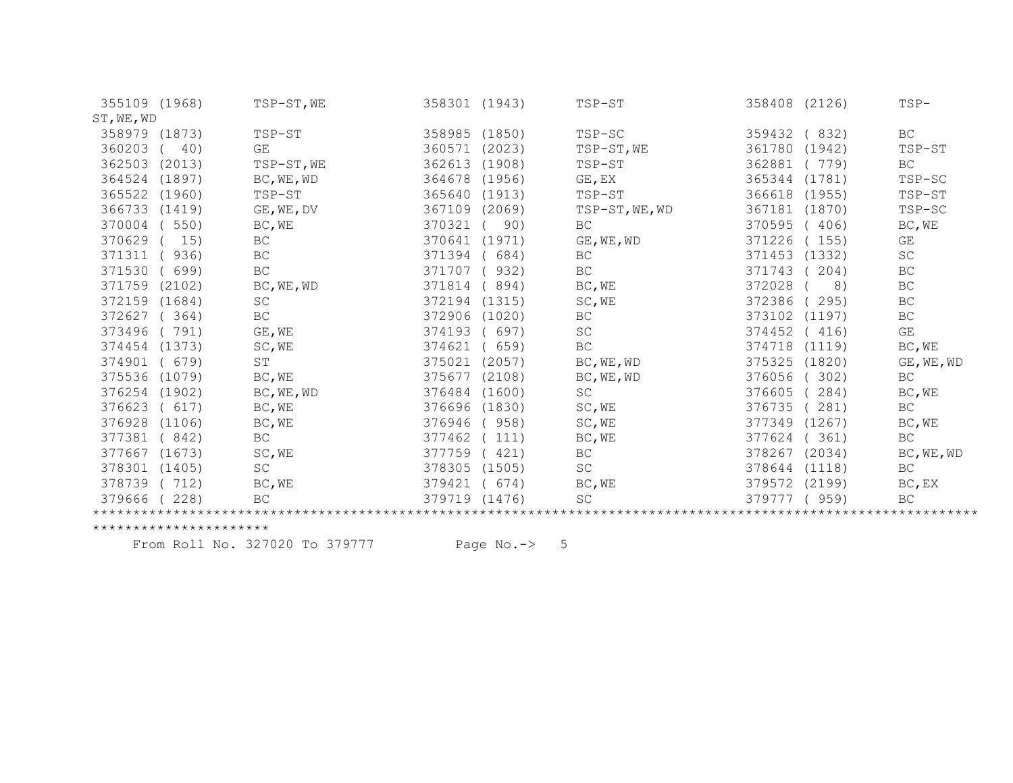| 355109 (1968) |        | TSP-ST, WE          | 358301 (1943) |        | TSP-ST              | 358408 (2126) |        | $TSP-$                  |
|---------------|--------|---------------------|---------------|--------|---------------------|---------------|--------|-------------------------|
| ST, WE, WD    |        |                     |               |        |                     |               |        |                         |
| 358979 (1873) |        | TSP-ST              | 358985 (1850) |        | TSP-SC              | 359432        | (832)  | BC                      |
| 360203        | 40)    | GE                  | 360571        | (2023) | TSP-ST, WE          | 361780        | (1942) | TSP-ST                  |
| 362503        | (2013) | TSP-ST, WE          | 362613        | (1908) | TSP-ST              | 362881        | (779)  | <b>BC</b>               |
| 364524        | (1897) | BC, WE, WD          | 364678        | (1956) | GE, EX              | 365344        | (1781) | TSP-SC                  |
| 365522 (1960) |        | TSP-ST              | 365640        | (1913) | TSP-ST              | 366618        | (1955) | TSP-ST                  |
| 366733 (1419) |        | GE, WE, DV          | 367109        | (2069) | TSP-ST, WE, WD      | 367181        | (1870) | TSP-SC                  |
| 370004        | (550)  | BC, WE              | 370321        | 90)    | BC                  | 370595        | (406)  | BC, WE                  |
| 370629        | 15)    | BC                  | 370641        | (1971) | GE, WE, WD          | 371226        | 155)   | GE                      |
| 371311        | 936)   | BC                  | 371394        | 684)   | <b>BC</b>           | 371453        | (1332) | SC                      |
| 371530        | (699)  | $\operatorname{BC}$ | 371707        | (932)  | $\operatorname{BC}$ | 371743        | 204)   | $\operatorname{BC}$     |
| 371759 (2102) |        | BC, WE, WD          | 371814        | 894)   | BC, WE              | 372028        | 8)     | BC                      |
| 372159 (1684) |        | SC                  | 372194        | (1315) | SC, WE              | 372386        | 295)   | BC                      |
| 372627        | (364)  | $\operatorname{BC}$ | 372906        | (1020) | BC                  | 373102        | (1197) | BC                      |
| 373496        | (791)  | GE, WE              | 374193        | (697)  | SC                  | 374452        | (416)  | $\mathbb{G}\mathcal{E}$ |
| 374454 (1373) |        | SC, WE              | 374621        | 659)   | BC                  | 374718        | (1119) | BC, WE                  |
| 374901        | (679)  | $\operatorname{ST}$ | 375021        | (2057) | BC, WE, WD          | 375325        | (1820) | GE, WE, WD              |
| 375536        | (1079) | BC, WE              | 375677        | (2108) | BC, WE, WD          | 376056        | 302)   | $\operatorname{BC}$     |
| 376254 (1902) |        | BC, WE, WD          | 376484        | (1600) | <b>SC</b>           | 376605        | 284)   | BC, WE                  |
| 376623        | (617)  | BC, WE              | 376696        | (1830) | SC, WE              | 376735        | 281)   | BC                      |
| 376928        | (1106) | BC, WE              | 376946        | (958)  | SC, WE              | 377349        | (1267) | BC, WE                  |
| 377381        | (842)  | <b>BC</b>           | 377462        | 111)   | BC, WE              | 377624        | 361)   | $\operatorname{BC}$     |
| 377667        | (1673) | SC, WE              | 377759        | (421)  | BC                  | 378267        | (2034) | BC, WE, WD              |
| 378301        | (1405) | SC                  | 378305        | (1505) | SC                  | 378644 (1118) |        | $\operatorname{BC}$     |
| 378739 (712)  |        | BC, WE              | 379421        | (674)  | BC, WE              | 379572        | (2199) | $BC$ , $EX$             |
| 379666        | (228)  | BC                  | 379719        | (1476) | SC                  | 379777        | (959)  | BC                      |
|               |        |                     |               |        |                     |               |        |                         |

From Roll No. 327020 To 379777 Page No.-> 5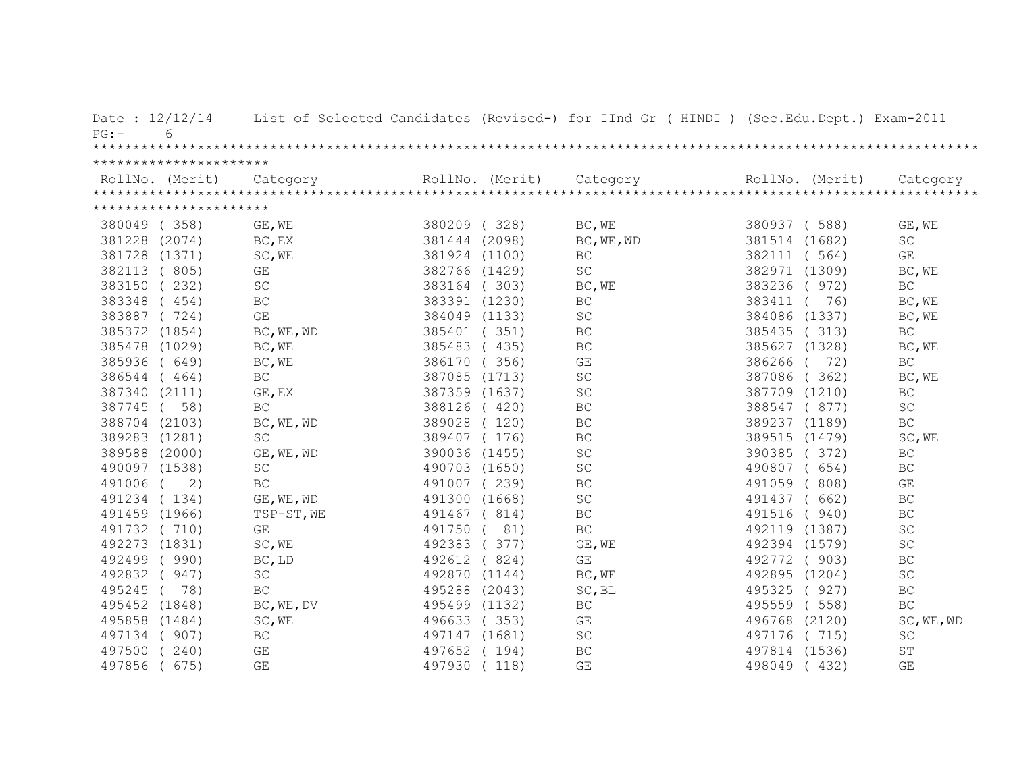| Date: $12/12/14$<br>$PG: -$<br>6 |                         |               |                 | List of Selected Candidates (Revised-) for IInd Gr ( HINDI ) (Sec.Edu.Dept.) Exam-2011                                                                                                                                                                                                                                                                                                                                                                           |                  |                         |
|----------------------------------|-------------------------|---------------|-----------------|------------------------------------------------------------------------------------------------------------------------------------------------------------------------------------------------------------------------------------------------------------------------------------------------------------------------------------------------------------------------------------------------------------------------------------------------------------------|------------------|-------------------------|
|                                  |                         |               |                 |                                                                                                                                                                                                                                                                                                                                                                                                                                                                  |                  |                         |
| **********************           |                         |               |                 |                                                                                                                                                                                                                                                                                                                                                                                                                                                                  |                  |                         |
|                                  |                         |               | RollNo. (Merit) | $\begin{minipage}{.45\textwidth} \begin{minipage}{0.5cm} \begin{minipage}{0.5cm} \begin{minipage}{0.5cm} \begin{minipage}{0.5cm} \begin{minipage}{0.5cm} \begin{minipage}{0.5cm} \begin{minipage}{0.5cm} \begin{minipage}{0.5cm} \begin{minipage}{0.5cm} \begin{minipage}{0.5cm} \begin{minipage}{0.5cm} \begin{minipage}{0.5cm} \begin{minipage}{0.5cm} \begin{minipage}{0.5cm} \begin{minipage}{0.5cm} \begin{minipage}{0.5cm} \begin{minipage}{0.5cm} \begin$ | RollNo. (Merit)  |                         |
|                                  |                         |               |                 |                                                                                                                                                                                                                                                                                                                                                                                                                                                                  |                  |                         |
| **********************           |                         |               |                 |                                                                                                                                                                                                                                                                                                                                                                                                                                                                  |                  |                         |
| 380049 (358)                     | GE, WE                  | 380209 (328)  |                 | BC, WE                                                                                                                                                                                                                                                                                                                                                                                                                                                           | 380937 (588)     | GE, WE                  |
| 381228 (2074)                    | BC, EX                  | 381444 (2098) |                 | BC, WE, WD                                                                                                                                                                                                                                                                                                                                                                                                                                                       | 381514 (1682)    | <b>SC</b>               |
| 381728 (1371)                    | SC, WE                  | 381924 (1100) |                 | BC                                                                                                                                                                                                                                                                                                                                                                                                                                                               | 382111<br>(564)  | GE                      |
| 382113 (805)                     | GE                      | 382766 (1429) |                 | $\operatorname{SC}$                                                                                                                                                                                                                                                                                                                                                                                                                                              | 382971 (1309)    | BC, WE                  |
| 383150<br>(232)                  | SC                      | 383164 (303)  |                 | BC, WE                                                                                                                                                                                                                                                                                                                                                                                                                                                           | 383236<br>(972)  | BC                      |
| 383348<br>(454)                  | BC                      | 383391 (1230) |                 | BC                                                                                                                                                                                                                                                                                                                                                                                                                                                               | 383411<br>76)    | BC, WE                  |
| 383887 (724)                     | $\mathbb{G}\mathcal{E}$ | 384049 (1133) |                 | $\operatorname{SC}$                                                                                                                                                                                                                                                                                                                                                                                                                                              | 384086 (1337)    | BC, WE                  |
| 385372 (1854)                    | BC, WE, WD              | 385401 (351)  |                 | BC                                                                                                                                                                                                                                                                                                                                                                                                                                                               | 385435 (313)     | BC                      |
| 385478 (1029)                    | BC, WE                  | 385483 (435)  |                 | BC                                                                                                                                                                                                                                                                                                                                                                                                                                                               | 385627 (1328)    | BC, WE                  |
| 385936 (649)                     | BC, WE                  | 386170 (356)  |                 | GE                                                                                                                                                                                                                                                                                                                                                                                                                                                               | 72)<br>386266 (  | BC                      |
| 386544 (464)                     | $\operatorname{BC}$     | 387085 (1713) |                 | $\operatorname{SC}$                                                                                                                                                                                                                                                                                                                                                                                                                                              | 387086 (362)     | BC, WE                  |
| 387340 (2111)                    | GE, EX                  | 387359 (1637) |                 | SC                                                                                                                                                                                                                                                                                                                                                                                                                                                               | 387709 (1210)    | BC                      |
| 387745 (<br>58)                  | BC                      | 388126 (420)  |                 | BC                                                                                                                                                                                                                                                                                                                                                                                                                                                               | 388547 (877)     | $\operatorname{SC}$     |
| 388704 (2103)                    | BC, WE, WD              | 389028 (120)  |                 | BC                                                                                                                                                                                                                                                                                                                                                                                                                                                               | 389237 (1189)    | BC                      |
| 389283 (1281)                    | SC                      | 389407 (176)  |                 | BC                                                                                                                                                                                                                                                                                                                                                                                                                                                               | 389515 (1479)    | SC, WE                  |
| 389588 (2000)                    | GE, WE, WD              | 390036 (1455) |                 | $\operatorname{SC}$                                                                                                                                                                                                                                                                                                                                                                                                                                              | 390385 (372)     | BC                      |
| 490097 (1538)                    | $\operatorname{SC}$     | 490703 (1650) |                 | $\operatorname{SC}$                                                                                                                                                                                                                                                                                                                                                                                                                                              | 490807 (654)     | $\operatorname{BC}$     |
| 491006<br>2)                     | BC                      | 491007 (239)  |                 | $\operatorname{BC}$                                                                                                                                                                                                                                                                                                                                                                                                                                              | 491059 (808)     | $\mathbb{G}\mathcal{E}$ |
| 491234 (134)                     | GE, WE, WD              | 491300 (1668) |                 | SC                                                                                                                                                                                                                                                                                                                                                                                                                                                               | 491437 ( 662)    | BC                      |
| 491459 (1966)                    | TSP-ST, WE              | 491467 (814)  |                 | $\operatorname{BC}$                                                                                                                                                                                                                                                                                                                                                                                                                                              | 491516<br>(940)  | $\operatorname{BC}$     |
| 491732 (710)                     | $\mathbb{G}\mathcal{E}$ | 491750 ( 81)  |                 | $\operatorname{BC}$                                                                                                                                                                                                                                                                                                                                                                                                                                              | 492119 (1387)    | $\operatorname{SC}$     |
| 492273 (1831)                    | SC, WE                  | 492383        | 377)            | GE, WE                                                                                                                                                                                                                                                                                                                                                                                                                                                           | 492394 (1579)    | SC                      |
| 492499<br>(990)                  | BC, LD                  | 492612        | (824)           | $\mathbb{G}\mathcal{E}$                                                                                                                                                                                                                                                                                                                                                                                                                                          | 492772 (903)     | BC                      |
| (947)<br>492832                  | $\operatorname{SC}$     | 492870 (1144) |                 | BC, WE                                                                                                                                                                                                                                                                                                                                                                                                                                                           | 492895 (1204)    | $\operatorname{SC}$     |
| 495245<br>78)                    | $\operatorname{BC}$     | 495288 (2043) |                 | SC, BL                                                                                                                                                                                                                                                                                                                                                                                                                                                           | 495325 (927)     | BC                      |
| 495452 (1848)                    | BC, WE, DV              | 495499 (1132) |                 | <b>BC</b>                                                                                                                                                                                                                                                                                                                                                                                                                                                        | 495559<br>(558)  | <b>BC</b>               |
| 495858 (1484)                    | SC, WE                  | 496633 (353)  |                 | $\mathbb{G}\mathcal{E}$                                                                                                                                                                                                                                                                                                                                                                                                                                          | 496768<br>(2120) | SC, WE, WD              |
| (907)<br>497134                  | $\operatorname{BC}$     | 497147 (1681) |                 | $\operatorname{SC}$                                                                                                                                                                                                                                                                                                                                                                                                                                              | 497176<br>(715)  | $\operatorname{SC}$     |
| (240)<br>497500                  | GE                      | 497652 (194)  |                 | BC                                                                                                                                                                                                                                                                                                                                                                                                                                                               | 497814 (1536)    | ST                      |
| 497856<br>675)                   | GE                      | 497930        | (118)           | GE                                                                                                                                                                                                                                                                                                                                                                                                                                                               | 498049<br>(432)  | $\mathbb{G}\mathcal{E}$ |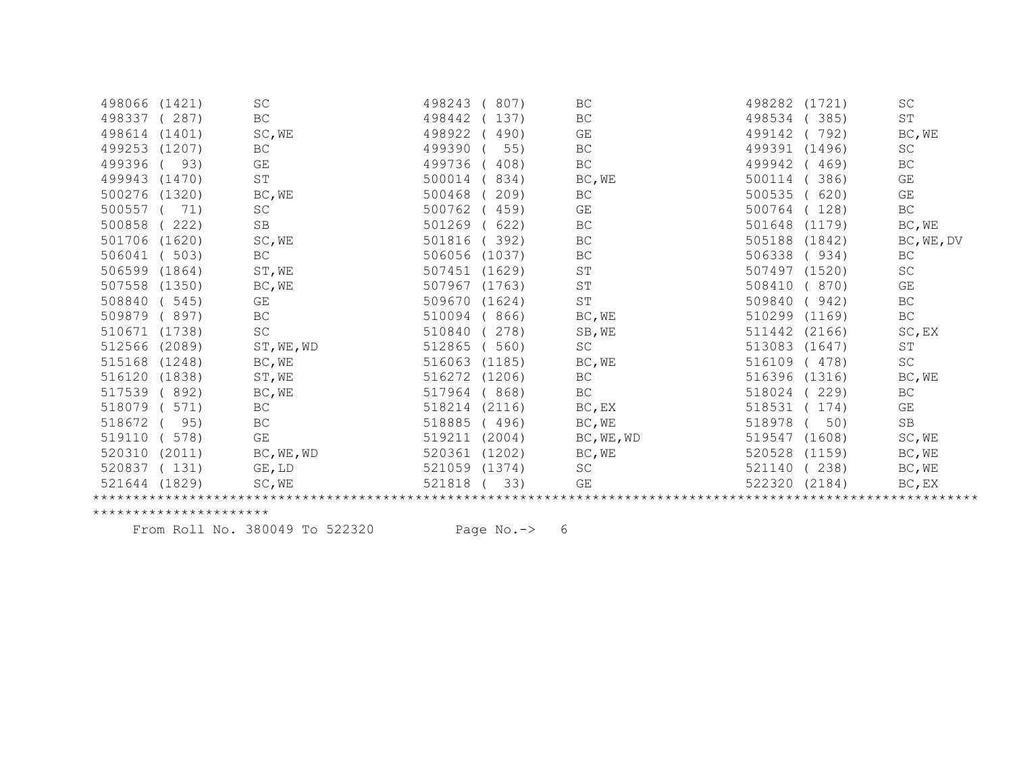| 498066 | (1421) | SC                  | 498243 | 807)   | BC         | 498282 | (1721) | <b>SC</b>                   |
|--------|--------|---------------------|--------|--------|------------|--------|--------|-----------------------------|
| 498337 | 287)   | BC                  | 498442 | 137)   | BC         | 498534 | 385)   | ST                          |
| 498614 | (1401) | SC, WE              | 498922 | 490)   | GE         | 499142 | 792)   | BC, WE                      |
| 499253 | (1207) | BC                  | 499390 | 55)    | BC         | 499391 | (1496) | <b>SC</b>                   |
| 499396 | 93)    | GE                  | 499736 | 408)   | BC         | 499942 | 469)   | BC                          |
| 499943 | (1470) | ST                  | 500014 | 834)   | BC, WE     | 500114 | 386)   | GE                          |
| 500276 | (1320) | BC, WE              | 500468 | 209)   | <b>BC</b>  | 500535 | 620)   | GE                          |
| 500557 | 71)    | $\operatorname{SC}$ | 500762 | 459)   | GE         | 500764 | 128)   | $\operatorname{BC}$         |
| 500858 | 222)   | SB                  | 501269 | 622)   | BC         | 501648 | (1179) | BC, WE                      |
| 501706 | (1620) | SC, WE              | 501816 | 392)   | BC         | 505188 | (1842) | BC, WE, DV                  |
| 506041 | 503)   | BC                  | 506056 | (1037) | BC         | 506338 | 934)   | BC                          |
| 506599 | (1864) | ST, WE              | 507451 | (1629) | ST         | 507497 | (1520) | $\protect\operatorname{SC}$ |
| 507558 | (1350) | BC, WE              | 507967 | (1763) | SΤ         | 508410 | 870)   | GE                          |
| 508840 | 545)   | GE                  | 509670 | (1624) | ST         | 509840 | 942)   | BC                          |
| 509879 | 897)   | BC                  | 510094 | 866)   | BC, WE     | 510299 | (1169) | $\operatorname{BC}$         |
| 510671 | (1738) | SC                  | 510840 | 278)   | SB, WE     | 511442 | (2166) | SC, EX                      |
| 512566 | (2089) | ST, WE, WD          | 512865 | 560)   | SC         | 513083 | (1647) | $\operatorname{ST}$         |
| 515168 | (1248) | BC, WE              | 516063 | (1185) | BC, WE     | 516109 | 478)   | $\protect\operatorname{SC}$ |
| 516120 | (1838) | ST, WE              | 516272 | (1206) | BC         | 516396 | (1316) | BC, WE                      |
| 517539 | 892)   | BC, WE              | 517964 | 868)   | <b>BC</b>  | 518024 | 229)   | BC                          |
| 518079 | 571)   | $\operatorname{BC}$ | 518214 | (2116) | BC, EX     | 518531 | 174)   | GE                          |
| 518672 | 95)    | $\operatorname{BC}$ | 518885 | (496)  | BC, WE     | 518978 | 50)    | SB                          |
| 519110 | 578)   | GE                  | 519211 | (2004) | BC, WE, WD | 519547 | (1608) | SC, WE                      |
| 520310 | (2011) | BC, WE, WD          | 520361 | (1202) | BC, WE     | 520528 | (1159) | BC, WE                      |
| 520837 | (131)  | GE, LD              | 521059 | (1374) | <b>SC</b>  | 521140 | 238)   | BC, WE                      |
| 521644 | (1829) | SC, WE              | 521818 | 33)    | GE         | 522320 | (2184) | BC, EX                      |
|        |        |                     |        |        |            |        |        |                             |

From Roll No. 380049 To 522320 Page No.-> 6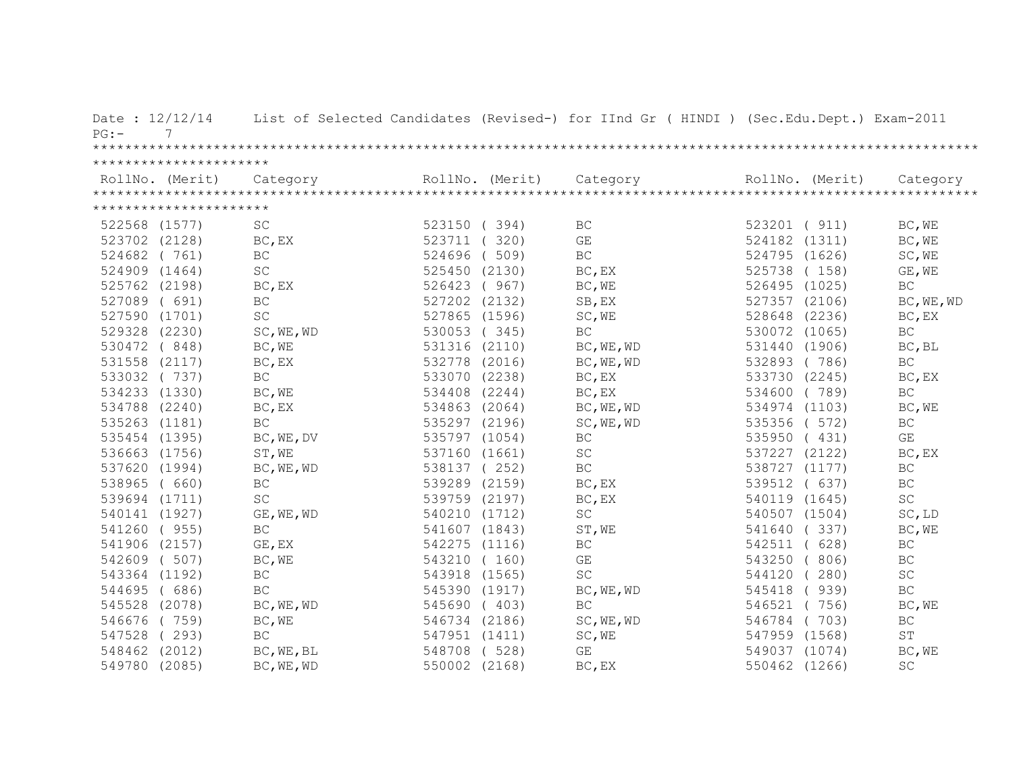| Date: 12/12/14<br>7<br>$PG:$ - |                     |               |                 | List of Selected Candidates (Revised-) for IInd Gr ( HINDI ) (Sec.Edu.Dept.) Exam-2011 |                  |                     |
|--------------------------------|---------------------|---------------|-----------------|----------------------------------------------------------------------------------------|------------------|---------------------|
|                                |                     |               |                 |                                                                                        |                  |                     |
| **********************         |                     |               |                 |                                                                                        |                  |                     |
| RollNo. (Merit)                | Category            |               | RollNo. (Merit) | Category                                                                               | RollNo. (Merit)  | Category            |
|                                |                     |               |                 |                                                                                        |                  |                     |
| **********************         |                     |               |                 |                                                                                        |                  |                     |
| 522568 (1577)                  | SC                  | 523150 (394)  |                 | BC                                                                                     | 523201 ( 911)    | BC, WE              |
| 523702 (2128)                  | BC, EX              | 523711        | (320)           | GE                                                                                     | 524182 (1311)    | BC, WE              |
| 524682 (761)                   | <b>BC</b>           | 524696        | (509)           | BC                                                                                     | 524795<br>(1626) | SC, WE              |
| 524909 (1464)                  | $\operatorname{SC}$ | 525450 (2130) |                 | BC, EX                                                                                 | 525738<br>(158)  | GE, WE              |
| 525762 (2198)                  | BC, EX              | 526423 (967)  |                 | BC, WE                                                                                 | 526495 (1025)    | BC                  |
| 527089 ( 691)                  | BC                  | 527202 (2132) |                 | SB, EX                                                                                 | 527357<br>(2106) | BC, WE, WD          |
| 527590 (1701)                  | <b>SC</b>           | 527865 (1596) |                 | SC, WE                                                                                 | 528648 (2236)    | BC, EX              |
| 529328 (2230)                  | SC, WE, WD          | 530053 (345)  |                 | BC                                                                                     | 530072<br>(1065) | BC                  |
| 530472 (848)                   | BC, WE              | 531316 (2110) |                 | BC, WE, WD                                                                             | 531440 (1906)    | BC, BL              |
| 531558 (2117)                  | BC, EX              | 532778 (2016) |                 | BC, WE, WD                                                                             | 532893<br>(786)  | $\operatorname{BC}$ |
| 533032 (737)                   | <b>BC</b>           | 533070 (2238) |                 | BC, EX                                                                                 | 533730 (2245)    | BC, EX              |
| 534233 (1330)                  | BC, WE              | 534408 (2244) |                 | BC, EX                                                                                 | 534600 (789)     | $\operatorname{BC}$ |
| 534788 (2240)                  | BC, EX              | 534863 (2064) |                 | BC, WE, WD                                                                             | 534974 (1103)    | BC, WE              |
| 535263 (1181)                  | <b>BC</b>           | 535297 (2196) |                 | SC, WE, WD                                                                             | 535356 ( 572)    | BC                  |
| 535454 (1395)                  | BC, WE, DV          | 535797 (1054) |                 | BC                                                                                     | 535950 (431)     | GE                  |
| 536663 (1756)                  | ST, WE              | 537160 (1661) |                 | SC                                                                                     | 537227 (2122)    | BC, EX              |
| 537620 (1994)                  | BC, WE, WD          | 538137 (252)  |                 | BC                                                                                     | 538727 (1177)    | BC                  |
| 538965 ( 660)                  | BC                  | 539289 (2159) |                 | BC, EX                                                                                 | 539512<br>(637)  | <b>BC</b>           |
| 539694 (1711)                  | $\operatorname{SC}$ | 539759 (2197) |                 | BC, EX                                                                                 | 540119 (1645)    | $\operatorname{SC}$ |
| 540141 (1927)                  | GE, WE, WD          | 540210 (1712) |                 | SC                                                                                     | 540507 (1504)    | SC, LD              |
| 541260 (955)                   | $\operatorname{BC}$ | 541607 (1843) |                 | ST, WE                                                                                 | 541640<br>(337)  | BC, WE              |
| 541906 (2157)                  | GE, EX              | 542275 (1116) |                 | BC                                                                                     | (628)<br>542511  | BC                  |
| 542609 (507)                   | BC, WE              | 543210 (160)  |                 | GE                                                                                     | 543250<br>(806)  | BC                  |
| 543364 (1192)                  | $\operatorname{BC}$ | 543918 (1565) |                 | $\operatorname{SC}$                                                                    | (280)<br>544120  | SC                  |
| 544695 (686)                   | $\operatorname{BC}$ | 545390 (1917) |                 | BC, WE, WD                                                                             | (939)<br>545418  | BC                  |
| 545528 (2078)                  | BC, WE, WD          | 545690 (403)  |                 | BC                                                                                     | 546521 (756)     | BC, WE              |
| 546676 (759)                   | BC, WE              | 546734 (2186) |                 | SC, WE, WD                                                                             | 546784<br>(703)  | $\operatorname{BC}$ |
| 547528 (293)                   | <b>BC</b>           | 547951 (1411) |                 | SC, WE                                                                                 | 547959 (1568)    | $\operatorname{ST}$ |
| 548462 (2012)                  | BC, WE, BL          | 548708 (528)  |                 | GE                                                                                     | 549037 (1074)    | BC, WE              |
| 549780 (2085)                  | BC, WE, WD          | 550002 (2168) |                 | BC, EX                                                                                 | 550462 (1266)    | SC                  |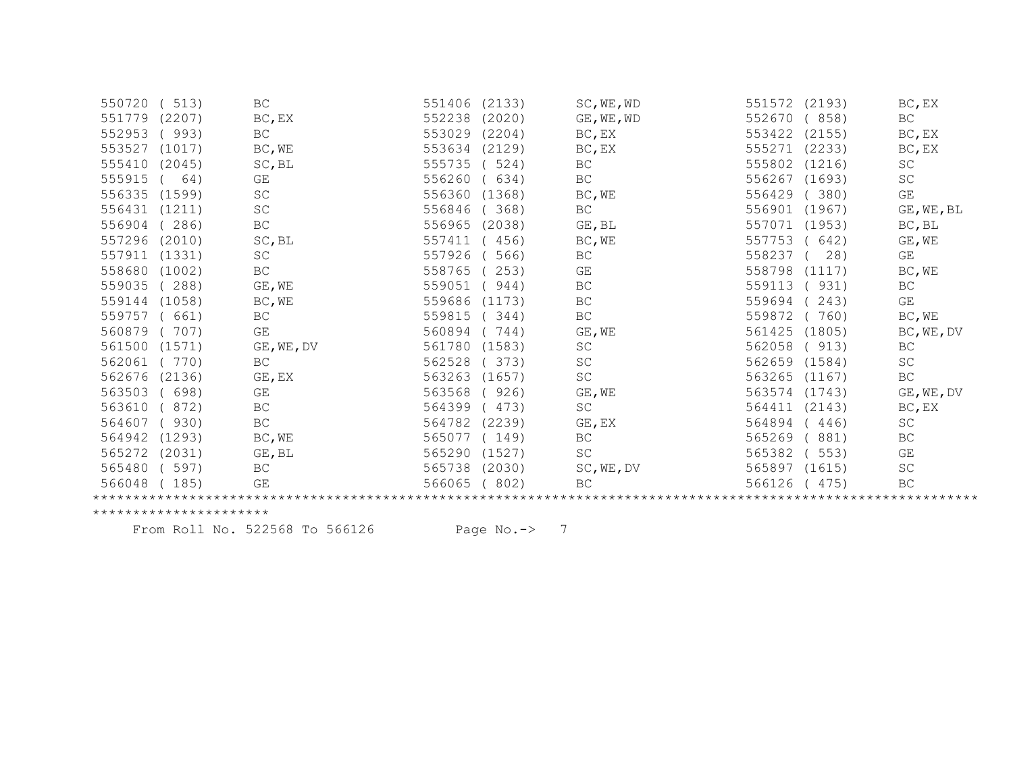| (513)            | BC                                                                                            | 551406 | (2133) | SC, WE, WD | 551572<br>(2193) | BC, EX              |
|------------------|-----------------------------------------------------------------------------------------------|--------|--------|------------|------------------|---------------------|
| (2207)           | BC, EX                                                                                        | 552238 | (2020) | GE, WE, WD | 552670<br>(858)  | BC                  |
| (993)            | BC                                                                                            | 553029 | (2204) | BC, EX     | 553422<br>(2155) | BC, EX              |
| (1017)           | BC, WE                                                                                        | 553634 | (2129) | BC, EX     | (2233)<br>555271 | BC, EX              |
| (2045)           | SC, BL                                                                                        | 555735 | 524)   | <b>BC</b>  | 555802<br>(1216) | $\operatorname{SC}$ |
| 64)              | GE                                                                                            | 556260 | 634)   | BC         | 556267<br>(1693) | SC                  |
|                  | SC                                                                                            | 556360 | (1368) | BC, WE     | 556429<br>(380)  | GE                  |
| (1211)           | SC                                                                                            | 556846 | 368)   | BC         | 556901<br>(1967) | GE, WE, BL          |
| 286)             | $\operatorname{BC}$                                                                           | 556965 | (2038) | GE, BL     | 557071<br>(1953) | BC, BL              |
| (2010)           | SC, BL                                                                                        | 557411 | 456)   | BC, WE     | 557753<br>642)   | GE, WE              |
| (1331)           | SC                                                                                            | 557926 | 566)   | <b>BC</b>  | 558237<br>28)    | GE                  |
| (1002)           | $\operatorname{BC}$                                                                           | 558765 | 253)   | GE         | 558798<br>(1117) | BC, WE              |
| 288)             | GE, WE                                                                                        | 559051 | 944)   | BC         | 559113<br>931)   | BC                  |
| (1058)           | BC, WE                                                                                        | 559686 | (1173) | <b>BC</b>  | 559694<br>243)   | GE                  |
| ( 661)           | BC                                                                                            | 559815 | 344)   | <b>BC</b>  | 559872<br>760)   | BC, WE              |
| 707)             | GE                                                                                            | 560894 | 744)   | GE, WE     | 561425<br>(1805) | BC, WE, DV          |
| (1571)           | GE, WE, DV                                                                                    | 561780 | (1583) | SC         | 562058<br>913)   | BC                  |
| (770)            | BC                                                                                            | 562528 | 373)   | SC         | 562659<br>(1584) | SC                  |
| (2136)           | GE, EX                                                                                        | 563263 | (1657) | SC         | 563265<br>(1167) | BC                  |
| (698)            | GE                                                                                            | 563568 | 926)   | GE, WE     | 563574<br>(1743) | $GE$ , $WE$ , $DV$  |
| 872)             | BC                                                                                            | 564399 | 473)   | SC         | 564411<br>(2143) | BC, EX              |
| 930)             | $\operatorname{BC}$                                                                           | 564782 | (2239) | GE, EX     | 564894<br>446)   | SC                  |
| (1293)           | BC, WE                                                                                        | 565077 | (149)  | BC         | 565269<br>881)   | BC                  |
| (2031)           | GE, BL                                                                                        | 565290 | (1527) | SC         | 565382<br>553)   | GE                  |
| 597)             | $\operatorname{BC}$                                                                           | 565738 | (2030) | SC, WE, DV | 565897<br>(1615) | SC                  |
| 185)             | GE                                                                                            | 566065 | 802)   | BC         | 566126<br>475)   | BC                  |
|                  |                                                                                               |        |        |            |                  |                     |
| 550720<br>555410 | 551779<br>553527<br>556335 (1599)<br>556431<br>558680<br>559144<br>559757<br>561500<br>566048 |        |        |            |                  |                     |

From Roll No. 522568 To 566126 Page No.-> 7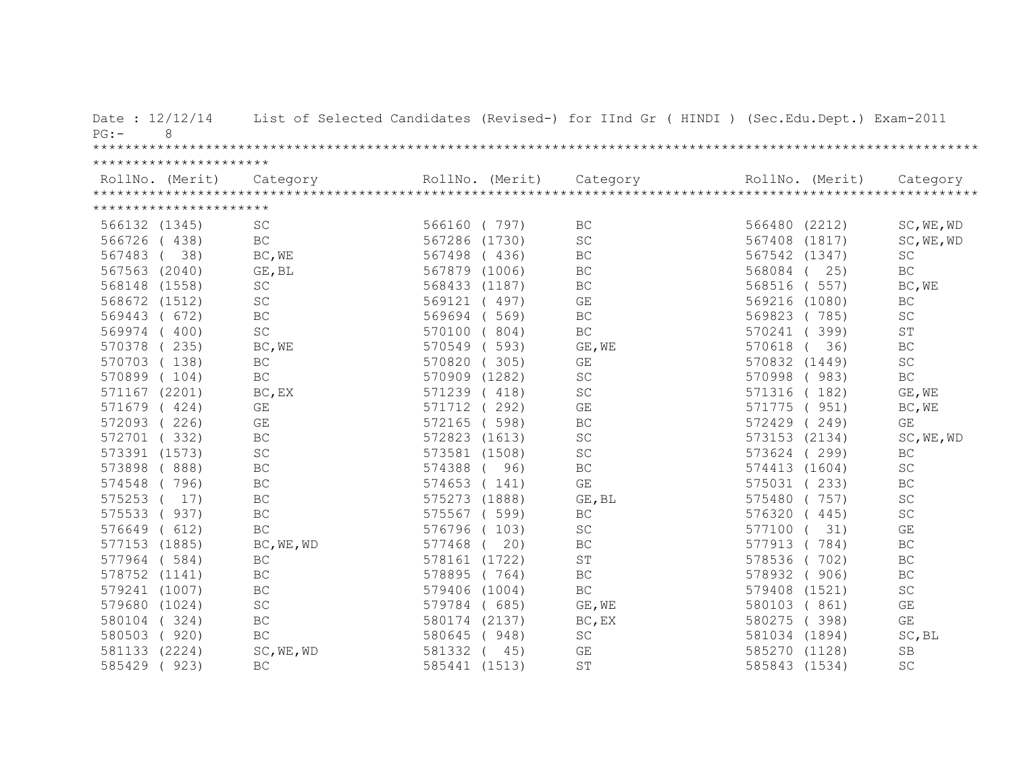| Date: 12/12/14<br>8<br>$PG: -$ |                         |               |                 | List of Selected Candidates (Revised-) for IInd Gr ( HINDI ) (Sec.Edu.Dept.) Exam-2011 |                  |                         |
|--------------------------------|-------------------------|---------------|-----------------|----------------------------------------------------------------------------------------|------------------|-------------------------|
|                                |                         |               |                 |                                                                                        |                  |                         |
| **********************         |                         |               |                 |                                                                                        |                  |                         |
| RollNo. (Merit)                | Category                |               | RollNo. (Merit) | Category                                                                               | RollNo. (Merit)  | Category                |
|                                |                         |               |                 |                                                                                        |                  |                         |
| **********************         |                         |               |                 |                                                                                        |                  |                         |
| 566132 (1345)                  | <b>SC</b>               | 566160 (797)  |                 | BC                                                                                     | 566480 (2212)    | SC, WE, WD              |
| 566726<br>(438)                | $\operatorname{BC}$     | 567286        | (1730)          | $\operatorname{SC}$                                                                    | 567408<br>(1817) | SC, WE, WD              |
| 38)<br>567483                  | BC, WE                  | 567498        | (436)           | $\operatorname{BC}$                                                                    | 567542 (1347)    | SC                      |
| (2040)<br>567563               | GE, BL                  | 567879        | (1006)          | <b>BC</b>                                                                              | 568084<br>25)    | <b>BC</b>               |
| (1558)<br>568148               | SC                      | 568433        | (1187)          | <b>BC</b>                                                                              | 568516<br>(557)  | BC, WE                  |
| 568672<br>(1512)               | SC                      | 569121        | (497)           | GE                                                                                     | 569216 (1080)    | <b>BC</b>               |
| 569443<br>672)                 | $\operatorname{BC}$     | 569694        | 569)            | $\operatorname{BC}$                                                                    | 569823<br>(785)  | $\operatorname{SC}$     |
| 400)<br>569974                 | $\operatorname{SC}$     | 570100        | 804)            | $\operatorname{BC}$                                                                    | 570241<br>399)   | ST                      |
| 570378<br>235)                 | BC, WE                  | 570549        | 593)            | GE, WE                                                                                 | 570618<br>36)    | BC                      |
| 570703<br>(138)                | BC                      | 570820        | (305)           | GE                                                                                     | 570832 (1449)    | $\operatorname{SC}$     |
| 570899<br>(104)                | $\operatorname{BC}$     | 570909 (1282) |                 | SC                                                                                     | 570998<br>(983)  | $\operatorname{BC}$     |
| 571167 (2201)                  | BC, EX                  | 571239        | (418)           | SC                                                                                     | (182)<br>571316  | GE, WE                  |
| 571679<br>(424)                | $\mathbb{G}\mathcal{E}$ | 571712        | (292)           | GE                                                                                     | (951)<br>571775  | BC, WE                  |
| 572093<br>226)                 | GE                      | 572165        | (598)           | BC                                                                                     | 572429<br>(249)  | GE                      |
| 572701<br>(332)                | $\operatorname{BC}$     | 572823 (1613) |                 | SC                                                                                     | 573153 (2134)    | SC, WE, WD              |
| 573391 (1573)                  | $\operatorname{SC}$     | 573581 (1508) |                 | SC                                                                                     | 573624 (299)     | BC                      |
| 573898<br>(888)                | $\operatorname{BC}$     | 574388        | 96)             | BC                                                                                     | 574413 (1604)    | SC                      |
| 574548<br>(796)                | $\operatorname{BC}$     | 574653        | (141)           | GE                                                                                     | 575031<br>(233)  | BC                      |
| 575253<br>17)                  | $\operatorname{BC}$     | 575273 (1888) |                 | GE, BL                                                                                 | 575480<br>(757)  | SC                      |
| 937)<br>575533                 | $\operatorname{BC}$     | 575567 ( 599) |                 | BC                                                                                     | 576320<br>(445)  | $\operatorname{SC}$     |
| (612)<br>576649                | $\operatorname{BC}$     | 576796 (103)  |                 | $\operatorname{SC}$                                                                    | 31)<br>577100    | $\mathbb{G}\mathcal{E}$ |
| 577153 (1885)                  | BC, WE, WD              | 577468        | 20)             | BC                                                                                     | 577913<br>(784)  | BC                      |
| (584)<br>577964                | $\operatorname{BC}$     | 578161 (1722) |                 | ST                                                                                     | 578536<br>702)   | BC                      |
| 578752 (1141)                  | $\operatorname{BC}$     | 578895 (764)  |                 | BC                                                                                     | 578932<br>(906)  | BC                      |
| 579241 (1007)                  | $\operatorname{BC}$     | 579406 (1004) |                 | $\operatorname{BC}$                                                                    | 579408<br>(1521) | $\operatorname{SC}$     |
| (1024)<br>579680               | $\operatorname{SC}$     | 579784        | (685)           | GE, WE                                                                                 | 580103<br>(861)  | $\mathbb{G}\mathcal{E}$ |
| 580104<br>(324)                | $\operatorname{BC}$     | 580174 (2137) |                 | BC, EX                                                                                 | 580275<br>(398)  | GE                      |
| 580503<br>(920)                | $\operatorname{BC}$     | 580645        | (948)           | SC                                                                                     | 581034 (1894)    | SC, BL                  |
| (2224)<br>581133               | SC, WE, WD              | 581332        | 45)             | GE                                                                                     | 585270 (1128)    | <b>SB</b>               |
| 585429<br>923)                 | $\operatorname{BC}$     | 585441 (1513) |                 | ST                                                                                     | 585843 (1534)    | SC                      |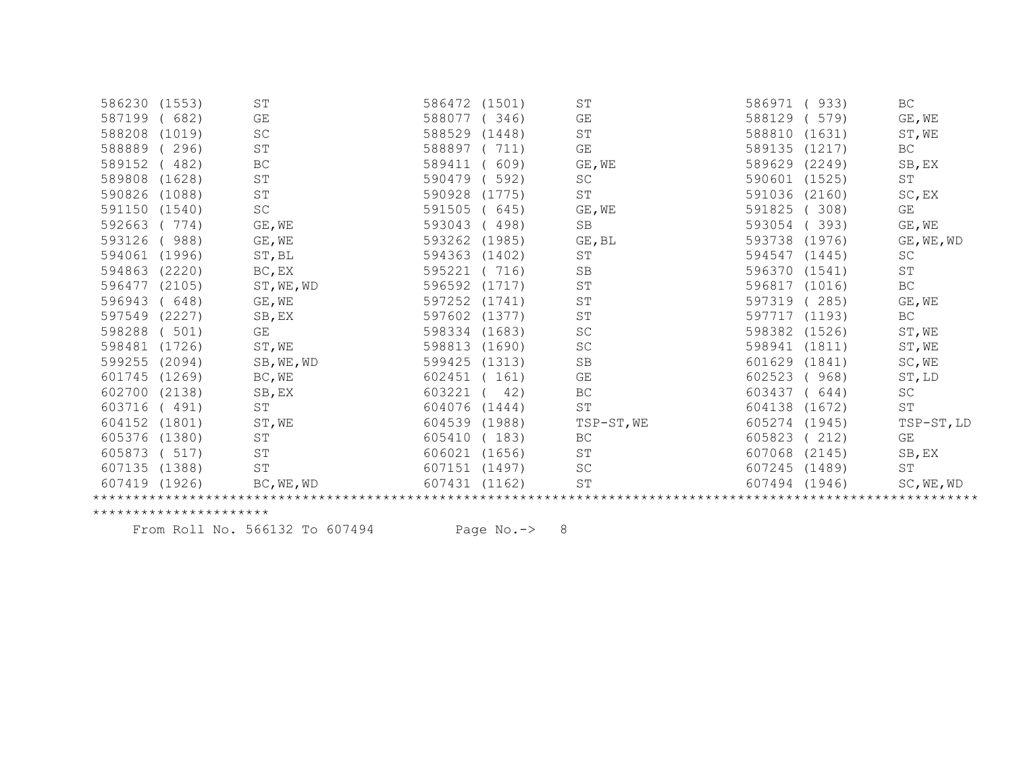| 586230 (1553) |        | ST                  | 586472 | (1501) | ST                  | 933)<br>586971   | BC                  |
|---------------|--------|---------------------|--------|--------|---------------------|------------------|---------------------|
| 587199        | 682)   | GE                  | 588077 | 346)   | GE                  | 579)<br>588129   | GE, WE              |
| 588208        | (1019) | SC                  | 588529 | (1448) | ST                  | 588810<br>(1631) | ST, WE              |
| 588889        | 296)   | ST                  | 588897 | 711)   | GE                  | 589135<br>(1217) | BC                  |
| 589152        | 482)   | BC                  | 589411 | 609)   | GE, WE              | 589629<br>(2249) | SB, EX              |
| 589808        | (1628) | ST                  | 590479 | 592)   | SC                  | 590601<br>(1525) | ST                  |
| 590826        | (1088) | ST                  | 590928 | (1775) | ST                  | 591036<br>(2160) | SC, EX              |
| 591150        | (1540) | $\operatorname{SC}$ | 591505 | 645)   | GE, WE              | 591825<br>308)   | GE                  |
| 592663        | 774)   | GE, WE              | 593043 | 498)   | SB                  | 593054<br>393)   | GE, WE              |
| 593126        | 988)   | GE, WE              | 593262 | (1985) | GE, BL              | 593738<br>(1976) | GE, WE, WD          |
| 594061        | (1996) | ST, BL              | 594363 | (1402) | ST                  | 594547<br>(1445) | SC                  |
| 594863        | (2220) | BC, EX              | 595221 | 716)   | <b>SB</b>           | 596370<br>(1541) | $\operatorname{ST}$ |
| 596477        | (2105) | ST, WE, WD          | 596592 | (1717) | <b>ST</b>           | 596817<br>(1016) | $\operatorname{BC}$ |
| 596943        | 648)   | GE, WE              | 597252 | (1741) | <b>ST</b>           | 285)<br>597319   | GE, WE              |
| 597549        | (2227) | SB, EX              | 597602 | (1377) | ${\tt ST}$          | 597717<br>(1193) | BC                  |
| 598288        | 501)   | GE                  | 598334 | (1683) | <b>SC</b>           | 598382<br>(1526) | ST, WE              |
| 598481        | (1726) | ST, WE              | 598813 | (1690) | SC                  | 598941<br>(1811) | ST, WE              |
| 599255        | (2094) | SB, WE, WD          | 599425 | (1313) | <b>SB</b>           | 601629<br>(1841) | SC, WE              |
| 601745        | (1269) | BC, WE              | 602451 | 161)   | GE                  | 602523<br>968)   | ST, LD              |
| 602700        | (2138) | SB, EX              | 603221 | 42)    | BC                  | 603437<br>644)   | SC                  |
| 603716        | (491)  | ST                  | 604076 | (1444) | ST                  | 604138<br>(1672) | ST                  |
| 604152        | (1801) | ST, WE              | 604539 | (1988) | TSP-ST, WE          | 605274<br>(1945) | TSP-ST, LD          |
| 605376        | (1380) | ST                  | 605410 | 183)   | BC                  | 605823<br>212)   | GE                  |
| 605873        | 517)   | ST                  | 606021 | (1656) | ST                  | 607068<br>(2145) | SB, EX              |
| 607135        | (1388) | <b>ST</b>           | 607151 | (1497) | <b>SC</b>           | 607245<br>(1489) | ST                  |
| 607419 (1926) |        | BC, WE, WD          | 607431 | (1162) | $\operatorname{ST}$ | 607494<br>(1946) | SC, WE, WD          |
|               |        |                     |        |        |                     |                  |                     |

From Roll No. 566132 To 607494 Page No.-> 8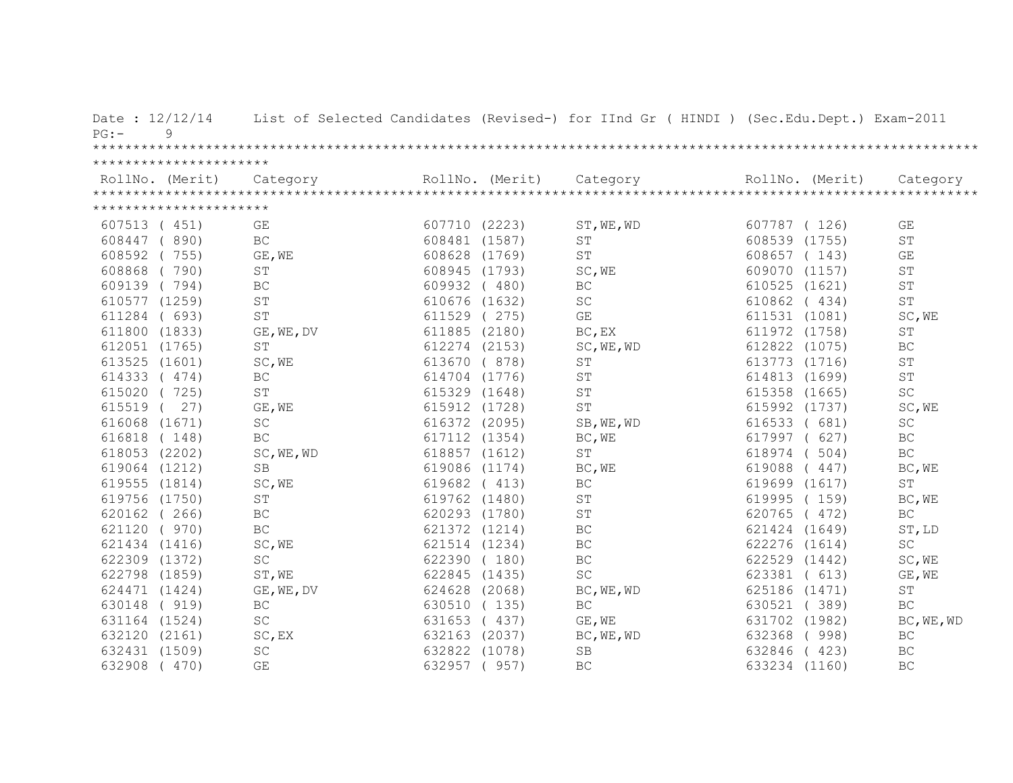| Date: 12/12/14<br>9<br>PG: |                     |               |                 | List of Selected Candidates (Revised-) for IInd Gr ( HINDI ) (Sec.Edu.Dept.) Exam-2011 |                 |                     |
|----------------------------|---------------------|---------------|-----------------|----------------------------------------------------------------------------------------|-----------------|---------------------|
|                            |                     |               |                 |                                                                                        |                 |                     |
| **********************     |                     |               |                 |                                                                                        |                 |                     |
| RollNo. (Merit)            | Category            |               | RollNo. (Merit) | Category                                                                               | RollNo. (Merit) | Category            |
|                            |                     |               |                 |                                                                                        |                 |                     |
| **********************     |                     |               |                 |                                                                                        |                 |                     |
| 607513 (451)               | GE                  | 607710 (2223) |                 | ST, WE, WD                                                                             | 607787 (126)    | GE                  |
| 890)<br>608447             | <b>BC</b>           | 608481 (1587) |                 | ST                                                                                     | 608539 (1755)   | $\mbox{ST}$         |
| 608592<br>755)             | GE, WE              | 608628 (1769) |                 | ST                                                                                     | 608657 (143)    | GE                  |
| 790)<br>608868             | <b>ST</b>           | 608945 (1793) |                 | SC, WE                                                                                 | 609070 (1157)   | $\mbox{ST}$         |
| 609139<br>(794)            | BC                  | 609932 (480)  |                 | BC                                                                                     | 610525 (1621)   | $\mbox{ST}$         |
| 610577 (1259)              | <b>ST</b>           | 610676 (1632) |                 | SC                                                                                     | 610862 (434)    | <b>ST</b>           |
| 611284<br>(693)            | <b>ST</b>           | 611529 (275)  |                 | GE                                                                                     | 611531 (1081)   | SC, WE              |
| 611800 (1833)              | GE, WE, DV          | 611885 (2180) |                 | BC, EX                                                                                 | 611972 (1758)   | ST                  |
| 612051 (1765)              | ST                  | 612274 (2153) |                 | SC, WE, WD                                                                             | 612822 (1075)   | $\operatorname{BC}$ |
| 613525 (1601)              | SC, WE              | 613670 ( 878) |                 | ST                                                                                     | 613773 (1716)   | ST                  |
| 614333 (474)               | <b>BC</b>           | 614704 (1776) |                 | ST                                                                                     | 614813 (1699)   | $\operatorname{ST}$ |
| 615020 (725)               | ST                  | 615329 (1648) |                 | ST                                                                                     | 615358 (1665)   | $\operatorname{SC}$ |
| 615519<br>27)              | GE, WE              | 615912 (1728) |                 | ST                                                                                     | 615992 (1737)   | SC, WE              |
| 616068 (1671)              | SC                  | 616372 (2095) |                 | SB, WE, WD                                                                             | 616533 ( 681)   | SC                  |
| 616818 (148)               | BC                  | 617112 (1354) |                 | BC, WE                                                                                 | 617997 ( 627)   | BC                  |
| 618053 (2202)              | SC, WE, WD          | 618857 (1612) |                 | ST                                                                                     | 618974 (504)    | $\operatorname{BC}$ |
| 619064 (1212)              | SB                  | 619086 (1174) |                 | BC, WE                                                                                 | 619088<br>(447) | BC, WE              |
| 619555 (1814)              | SC, WE              | 619682 (413)  |                 | BC                                                                                     | 619699 (1617)   | <b>ST</b>           |
| 619756 (1750)              | ST                  | 619762 (1480) |                 | ST                                                                                     | 619995 (159)    | BC, WE              |
| 620162 (266)               | $\operatorname{BC}$ | 620293 (1780) |                 | ST                                                                                     | 620765 (472)    | BC                  |
| 621120<br>(970)            | $\operatorname{BC}$ | 621372 (1214) |                 | BC                                                                                     | 621424 (1649)   | ST, LD              |
| 621434 (1416)              | SC, WE              | 621514 (1234) |                 | BC                                                                                     | 622276 (1614)   | <b>SC</b>           |
| 622309 (1372)              | $\operatorname{SC}$ | 622390 (180)  |                 | $\operatorname{BC}$                                                                    | 622529 (1442)   | SC, WE              |
| 622798 (1859)              | ST, WE              | 622845 (1435) |                 | SC                                                                                     | 623381 ( 613)   | GE, WE              |
| 624471 (1424)              | GE, WE, DV          | 624628 (2068) |                 | BC, WE, WD                                                                             | 625186 (1471)   | ST                  |
| 630148<br>(919)            | BC                  | 630510 (135)  |                 | $\operatorname{BC}$                                                                    | 630521 (389)    | $\operatorname{BC}$ |
| 631164 (1524)              | $\operatorname{SC}$ | 631653        | (437)           | GE, WE                                                                                 | 631702 (1982)   | BC, WE, WD          |
| 632120 (2161)              | SC, EX              | 632163 (2037) |                 | BC, WE, WD                                                                             | 632368<br>(998) | BC                  |
| 632431 (1509)              | $\operatorname{SC}$ | 632822 (1078) |                 | <b>SB</b>                                                                              | 632846<br>(423) | <b>BC</b>           |
| 632908<br>(470)            | GE                  | 632957        | (957)           | <b>BC</b>                                                                              | 633234 (1160)   | $\operatorname{BC}$ |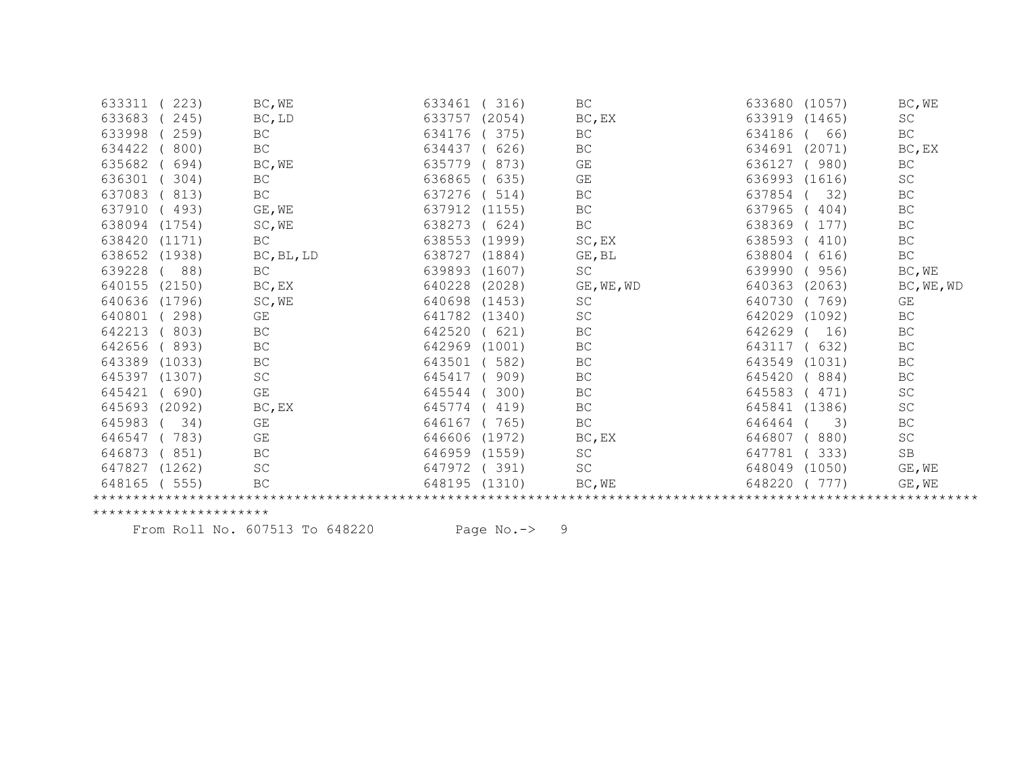| 223)<br>633311         | BC, WE              | 633461        | 316)   | <b>BC</b>  | 633680 (1057)    | BC, WE              |
|------------------------|---------------------|---------------|--------|------------|------------------|---------------------|
| 633683<br>245)         | BC, LD              | 633757        | (2054) | BC, EX     | 633919 (1465)    | $\operatorname{SC}$ |
| 633998<br>259)         | BC                  | 634176        | 375)   | <b>BC</b>  | 634186<br>66)    | BC                  |
| 634422<br>800)         | <b>BC</b>           | 634437        | 626)   | <b>BC</b>  | 634691<br>(2071) | BC, EX              |
| 635682<br>694)         | BC, WE              | 635779        | 873)   | GE         | 636127<br>(980)  | <b>BC</b>           |
| 636301<br>304)         | BC                  | 636865        | 635)   | GE         | 636993<br>(1616) | $\operatorname{SC}$ |
| 637083<br>813)         | BC                  | 637276        | 514)   | BC         | 637854<br>32)    | BC                  |
| 637910<br>493)         | GE, WE              | 637912        | (1155) | <b>BC</b>  | 637965<br>404)   | BC                  |
| 638094<br>(1754)       | SC, WE              | 638273        | (624)  | <b>BC</b>  | 638369<br>177)   | <b>BC</b>           |
| 638420<br>(1171)       | <b>BC</b>           | 638553        | (1999) | SC, EX     | 638593<br>(410)  | <b>BC</b>           |
| 638652<br>(1938)       | BC, BL, LD          | 638727        | (1884) | GE, BL     | 638804<br>616)   | $\operatorname{BC}$ |
| 639228<br>88)          | <b>BC</b>           | 639893        | (1607) | <b>SC</b>  | 639990<br>(956)  | BC, WE              |
| 640155<br>(2150)       | BC, EX              | 640228        | (2028) | GE, WE, WD | 640363<br>(2063) | BC, WE, WD          |
| 640636<br>(1796)       | SC, WE              | 640698        | (1453) | SC         | 640730<br>769)   | GE                  |
| 640801<br>298)         | GE                  | 641782        | (1340) | <b>SC</b>  | 642029 (1092)    | BC                  |
| 642213<br>803)         | $\operatorname{BC}$ | 642520        | (621)  | <b>BC</b>  | 642629<br>16)    | <b>BC</b>           |
| 642656<br>(893)        | BC                  | 642969        | (1001) | <b>BC</b>  | 643117<br>632)   | <b>BC</b>           |
| 643389<br>(1033)       | BC                  | 643501        | 582)   | BC         | 643549<br>(1031) | BC                  |
| 645397<br>(1307)       | $\operatorname{SC}$ | 645417        | 909)   | <b>BC</b>  | 645420<br>(884)  | <b>BC</b>           |
| 645421<br>(690)        | GE                  | 645544        | 300)   | <b>BC</b>  | 645583<br>471)   | SC                  |
| 645693 (2092)          | BC, EX              | 645774        | 419)   | <b>BC</b>  | 645841<br>(1386) | $\operatorname{SC}$ |
| 645983<br>34)          | GE                  | 646167        | (765)  | BC         | 646464<br>3)     | <b>BC</b>           |
| 646547<br>783)         | GE                  | 646606        | (1972) | BC, EX     | 646807<br>(880)  | SC                  |
| 646873<br>(851)        | BC                  | 646959 (1559) |        | SC         | 647781<br>(333)  | $\mbox{SB}$         |
| 647827<br>(1262)       | SC                  | 647972        | (391)  | <b>SC</b>  | 648049<br>(1050) | GE, WE              |
| 648165<br>(555)        | BC                  | 648195 (1310) |        | BC, WE     | 648220<br>(777)  | GE, WE              |
|                        |                     |               |        |            |                  |                     |
| ********************** |                     |               |        |            |                  |                     |

From Roll No. 607513 To 648220 Page No.-> 9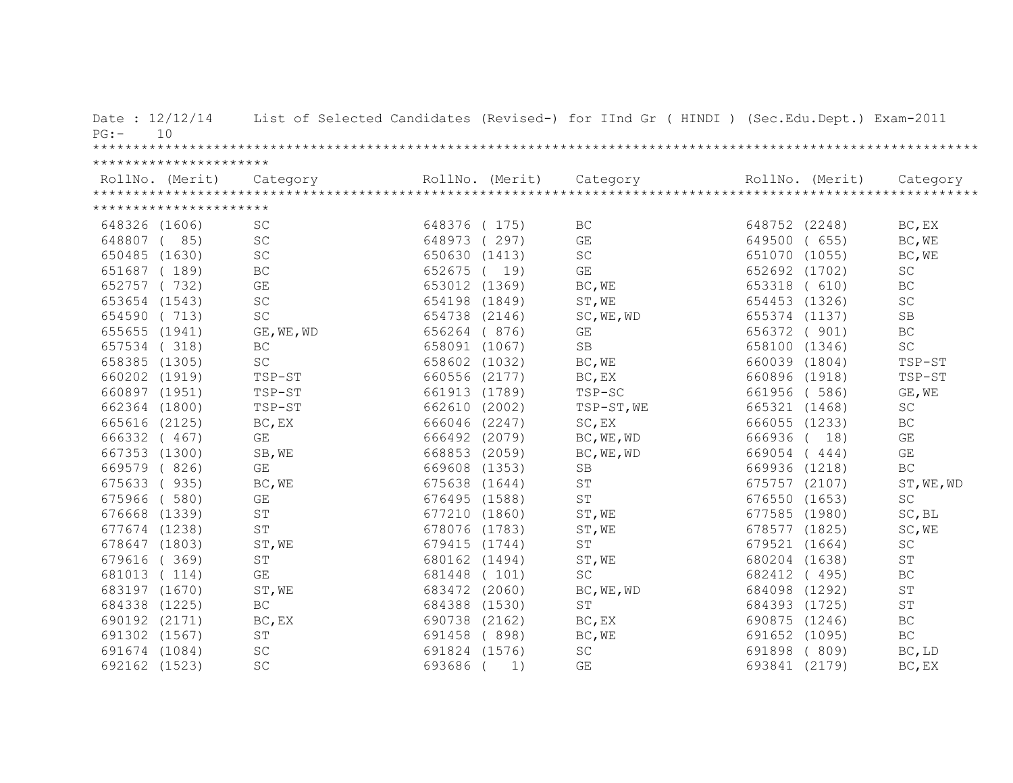| $PG:$ – | Date: $12/12/14$<br>10 |                         |               |                 | List of Selected Candidates (Revised-) for IInd Gr ( HINDI ) (Sec.Edu.Dept.) Exam-2011 |               |                 |                     |
|---------|------------------------|-------------------------|---------------|-----------------|----------------------------------------------------------------------------------------|---------------|-----------------|---------------------|
|         |                        |                         |               |                 |                                                                                        |               |                 |                     |
|         | ********************** |                         |               |                 |                                                                                        |               |                 |                     |
|         | RollNo. (Merit)        | Category                |               | RollNo. (Merit) | Category                                                                               |               | RollNo. (Merit) | Category            |
|         |                        |                         |               |                 |                                                                                        |               |                 |                     |
|         | ********************** |                         |               |                 |                                                                                        |               |                 |                     |
|         | 648326 (1606)          | <b>SC</b>               | 648376 (175)  |                 | BC                                                                                     | 648752 (2248) |                 | BC, EX              |
|         | 648807 (85)            | SC                      | 648973 (297)  |                 | GE                                                                                     | 649500        | (655)           | BC, WE              |
|         | 650485 (1630)          | SC                      | 650630 (1413) |                 | <b>SC</b>                                                                              | 651070 (1055) |                 | BC, WE              |
|         | 651687 (189)           | BC                      | 652675 (      | 19)             | GE                                                                                     | 652692 (1702) |                 | <b>SC</b>           |
|         | 652757 (732)           | $\mathbb{G}\mathcal{E}$ | 653012 (1369) |                 | BC, WE                                                                                 | 653318        | (610)           | ВC                  |
|         | 653654 (1543)          | $\operatorname{SC}$     | 654198 (1849) |                 | ST, WE                                                                                 | 654453 (1326) |                 | $\operatorname{SC}$ |
|         | 654590 (713)           | SC                      | 654738 (2146) |                 | SC, WE, WD                                                                             | 655374 (1137) |                 | SB                  |
|         | 655655 (1941)          | GE, WE, WD              | 656264 (876)  |                 | GE                                                                                     | 656372 ( 901) |                 | BC                  |
|         | 657534 (318)           | BC                      | 658091 (1067) |                 | SB                                                                                     | 658100 (1346) |                 | $\operatorname{SC}$ |
|         | 658385 (1305)          | $\operatorname{SC}$     | 658602 (1032) |                 | BC, WE                                                                                 | 660039 (1804) |                 | TSP-ST              |
|         | 660202 (1919)          | TSP-ST                  | 660556 (2177) |                 | BC, EX                                                                                 | 660896 (1918) |                 | TSP-ST              |
|         | 660897 (1951)          | TSP-ST                  | 661913 (1789) |                 | TSP-SC                                                                                 | 661956 (586)  |                 | GE, WE              |
|         | 662364 (1800)          | TSP-ST                  | 662610 (2002) |                 | TSP-ST, WE                                                                             | 665321 (1468) |                 | SC                  |
|         | 665616 (2125)          | BC, EX                  | 666046 (2247) |                 | SC, EX                                                                                 | 666055 (1233) |                 | $\operatorname{BC}$ |
|         | 666332 ( 467)          | GE                      | 666492 (2079) |                 | BC, WE, WD                                                                             | 666936 (      | 18)             | GE                  |
|         | 667353 (1300)          | SB, WE                  | 668853 (2059) |                 | BC, WE, WD                                                                             | 669054 (444)  |                 | GE                  |
|         | 669579 (826)           | GE                      | 669608 (1353) |                 | <b>SB</b>                                                                              | 669936 (1218) |                 | <b>BC</b>           |
|         | 675633 (935)           | BC, WE                  | 675638 (1644) |                 | ST                                                                                     | 675757 (2107) |                 | ST, WE, WD          |
|         | 675966 (580)           | GE                      | 676495 (1588) |                 | $\mbox{S}\,\mbox{T}$                                                                   | 676550 (1653) |                 | $\operatorname{SC}$ |
|         | 676668 (1339)          | ST                      | 677210 (1860) |                 | ST, WE                                                                                 | 677585 (1980) |                 | SC, BL              |
|         | 677674 (1238)          | <b>ST</b>               | 678076 (1783) |                 | ST, WE                                                                                 | 678577 (1825) |                 | SC, WE              |
|         | 678647 (1803)          | ST, WE                  | 679415 (1744) |                 | ST                                                                                     | 679521 (1664) |                 | $\operatorname{SC}$ |
|         | 679616 (369)           | ST                      | 680162 (1494) |                 | ST, WE                                                                                 | 680204 (1638) |                 | ST                  |
|         | 681013 (114)           | GE                      | 681448 (101)  |                 | <b>SC</b>                                                                              | 682412 (495)  |                 | BC                  |
|         | 683197 (1670)          | ST, WE                  | 683472 (2060) |                 | BC, WE, WD                                                                             | 684098 (1292) |                 | ST                  |
|         | 684338 (1225)          | $\operatorname{BC}$     | 684388 (1530) |                 | $\mbox{ST}$                                                                            | 684393 (1725) |                 | ST                  |
|         | 690192 (2171)          | BC, EX                  | 690738 (2162) |                 | BC, EX                                                                                 | 690875 (1246) |                 | $\operatorname{BC}$ |
|         | 691302 (1567)          | ST                      | 691458        | (898)           | BC, WE                                                                                 | 691652 (1095) |                 | BC                  |
|         | 691674 (1084)          | SC                      | 691824 (1576) |                 | SC                                                                                     | 691898        | (809)           | BC, LD              |
|         | 692162 (1523)          | SC                      | 693686        | 1)              | GE                                                                                     | 693841 (2179) |                 | BC, EX              |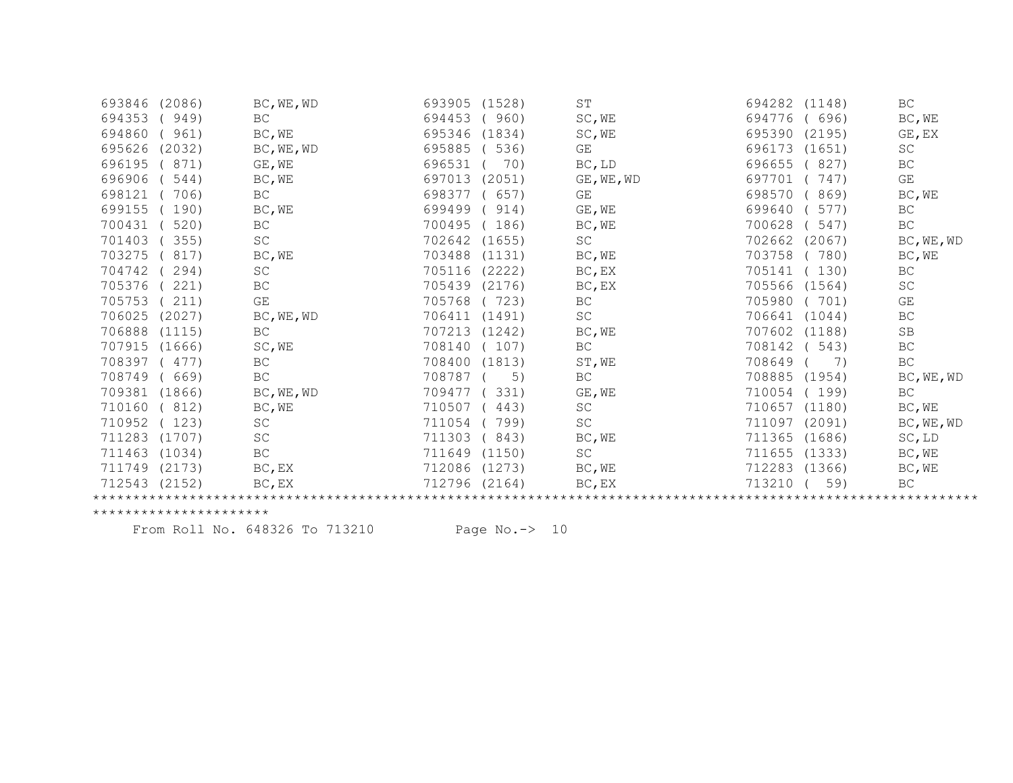| 693846        | (2086) | BC, WE, WD          | 693905 | (1528) | ST         | 694282 | (1148) | BC                  |
|---------------|--------|---------------------|--------|--------|------------|--------|--------|---------------------|
| 694353        | 949)   | <b>BC</b>           | 694453 | (960)  | SC, WE     | 694776 | 696)   | BC, WE              |
| 694860        | 961)   | BC, WE              | 695346 | (1834) | SC, WE     | 695390 | (2195) | GE, EX              |
| 695626        | (2032) | BC, WE, WD          | 695885 | 536)   | GE         | 696173 | (1651) | SC                  |
| 696195        | 871)   | GE, WE              | 696531 | 70)    | BC, LD     | 696655 | 827)   | BC                  |
| 696906        | 544)   | BC, WE              | 697013 | (2051) | GE, WE, WD | 697701 | 747)   | GE                  |
| 698121        | 706)   | <b>BC</b>           | 698377 | (657)  | GE         | 698570 | 869)   | BC, WE              |
| 699155        | 190)   | BC, WE              | 699499 | 914)   | GE, WE     | 699640 | 577)   | BC                  |
| 700431        | 520)   | BC                  | 700495 | 186)   | BC, WE     | 700628 | 547)   | BC                  |
| 701403        | 355)   | SC                  | 702642 | (1655) | <b>SC</b>  | 702662 | (2067) | BC, WE, WD          |
| 703275        | 817)   | BC, WE              | 703488 | (1131) | BC, WE     | 703758 | 780)   | BC, WE              |
| 704742        | 294)   | SC                  | 705116 | (2222) | BC, EX     | 705141 | (130)  | BC                  |
| 705376        | 221)   | BC                  | 705439 | (2176) | BC, EX     | 705566 | (1564) | SC                  |
| 705753        | 211)   | GE                  | 705768 | 723)   | BC         | 705980 | 701)   | GE                  |
| 706025        | (2027) | BC, WE, WD          | 706411 | (1491) | SC         | 706641 | (1044) | BC                  |
| 706888        | (1115) | BC                  | 707213 | (1242) | BC, WE     | 707602 | (1188) | SB                  |
| 707915        | (1666) | SC, WE              | 708140 | (107)  | BC         | 708142 | (543)  | $\operatorname{BC}$ |
| 708397        | 477)   | $\operatorname{BC}$ | 708400 | (1813) | ST, WE     | 708649 | 7)     | BC                  |
| 708749        | 669)   | BC                  | 708787 | 5)     | <b>BC</b>  | 708885 | (1954) | BC, WE, WD          |
| 709381 (1866) |        | BC, WE, WD          | 709477 | 331)   | GE, WE     | 710054 | (199)  | BC                  |
| 710160        | 812)   | BC, WE              | 710507 | 443)   | SC         | 710657 | (1180) | BC, WE              |
| 710952        | 123)   | SC                  | 711054 | 799)   | SC         | 711097 | (2091) | BC, WE, WD          |
| 711283        | (1707) | $\operatorname{SC}$ | 711303 | 843)   | BC, WE     | 711365 | (1686) | $SC$ , $LD$         |
| 711463        | (1034) | $\operatorname{BC}$ | 711649 | (1150) | SC         | 711655 | (1333) | BC, WE              |
| 711749        | (2173) | BC, EX              | 712086 | (1273) | BC, WE     | 712283 | (1366) | BC, WE              |
| 712543        | (2152) | BC, EX              | 712796 | (2164) | BC, EX     | 713210 | 59)    | BC                  |
|               |        |                     |        |        |            |        |        |                     |

From Roll No. 648326 To 713210 Page No.-> 10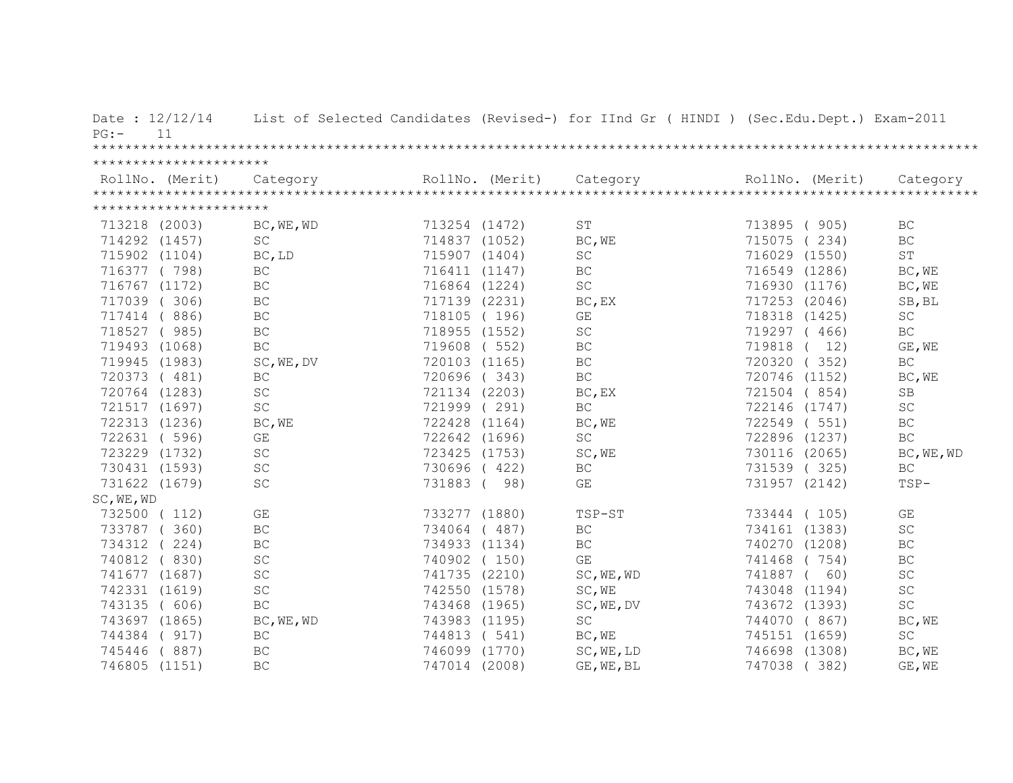| Date: $12/12/14$<br>$PG:$ - | 11                     |                     |               |                 | List of Selected Candidates (Revised-) for IInd Gr ( HINDI ) (Sec.Edu.Dept.) Exam-2011                                                                                                                                                                                                                                                                                                                                                                        |               |                 |                     |
|-----------------------------|------------------------|---------------------|---------------|-----------------|---------------------------------------------------------------------------------------------------------------------------------------------------------------------------------------------------------------------------------------------------------------------------------------------------------------------------------------------------------------------------------------------------------------------------------------------------------------|---------------|-----------------|---------------------|
|                             | ********************** |                     |               |                 |                                                                                                                                                                                                                                                                                                                                                                                                                                                               |               |                 |                     |
|                             |                        |                     |               | RollNo. (Merit) | $\begin{minipage}{.4cm} \begin{minipage}{0.5cm} \begin{minipage}{0.5cm} \begin{minipage}{0.5cm} \begin{minipage}{0.5cm} \begin{minipage}{0.5cm} \begin{minipage}{0.5cm} \begin{minipage}{0.5cm} \begin{minipage}{0.5cm} \begin{minipage}{0.5cm} \begin{minipage}{0.5cm} \begin{minipage}{0.5cm} \begin{minipage}{0.5cm} \begin{minipage}{0.5cm} \begin{minipage}{0.5cm} \begin{minipage}{0.5cm} \begin{minipage}{0.5cm} \begin{minipage}{0.5cm} \begin{minip$ |               | RollNo. (Merit) |                     |
|                             | ********************** |                     |               |                 |                                                                                                                                                                                                                                                                                                                                                                                                                                                               |               |                 |                     |
| 713218 (2003)               |                        | BC, WE, WD          | 713254 (1472) |                 | <b>ST</b>                                                                                                                                                                                                                                                                                                                                                                                                                                                     | 713895 (905)  |                 | BC                  |
| 714292 (1457)               |                        | SC                  | 714837 (1052) |                 | BC, WE                                                                                                                                                                                                                                                                                                                                                                                                                                                        | 715075 (234)  |                 | BC                  |
| 715902 (1104)               |                        | BC, LD              | 715907 (1404) |                 | $\operatorname{SC}$                                                                                                                                                                                                                                                                                                                                                                                                                                           | 716029 (1550) |                 | $\operatorname{ST}$ |
| 716377 (798)                |                        | BC                  | 716411 (1147) |                 | BC                                                                                                                                                                                                                                                                                                                                                                                                                                                            | 716549 (1286) |                 | BC, WE              |
| 716767 (1172)               |                        | BC                  | 716864 (1224) |                 | <b>SC</b>                                                                                                                                                                                                                                                                                                                                                                                                                                                     | 716930 (1176) |                 | BC, WE              |
| 717039 (306)                |                        | BC                  | 717139 (2231) |                 | BC, EX                                                                                                                                                                                                                                                                                                                                                                                                                                                        | 717253 (2046) |                 | SB, BL              |
| 717414 (886)                |                        | $\operatorname{BC}$ | 718105 (196)  |                 | GE                                                                                                                                                                                                                                                                                                                                                                                                                                                            | 718318 (1425) |                 | SC                  |
| 718527 (985)                |                        | $\operatorname{BC}$ | 718955 (1552) |                 | $\operatorname{SC}$                                                                                                                                                                                                                                                                                                                                                                                                                                           | 719297 (466)  |                 | BC                  |
| 719493 (1068)               |                        | BC                  | 719608 ( 552) |                 | BC                                                                                                                                                                                                                                                                                                                                                                                                                                                            | 719818 ( 12)  |                 | GE, WE              |
| 719945 (1983)               |                        | SC, WE, DV          | 720103 (1165) |                 | $\operatorname{BC}$                                                                                                                                                                                                                                                                                                                                                                                                                                           | 720320 (352)  |                 | $\operatorname{BC}$ |
| 720373 (481)                |                        | $\operatorname{BC}$ | 720696 (343)  |                 | $\operatorname{BC}$                                                                                                                                                                                                                                                                                                                                                                                                                                           | 720746 (1152) |                 | BC, WE              |
| 720764 (1283)               |                        | SC                  | 721134 (2203) |                 | BC, EX                                                                                                                                                                                                                                                                                                                                                                                                                                                        | 721504 (854)  |                 | SB                  |
| 721517 (1697)               |                        | $\operatorname{SC}$ | 721999 (291)  |                 | $\operatorname{BC}$                                                                                                                                                                                                                                                                                                                                                                                                                                           | 722146 (1747) |                 | SC                  |
| 722313 (1236)               |                        | BC, WE              | 722428 (1164) |                 | BC, WE                                                                                                                                                                                                                                                                                                                                                                                                                                                        | 722549 (551)  |                 | BC                  |
| 722631 ( 596)               |                        | GE                  | 722642 (1696) |                 | $\operatorname{SC}$                                                                                                                                                                                                                                                                                                                                                                                                                                           | 722896 (1237) |                 | BC.                 |
| 723229 (1732)               |                        | SC                  | 723425 (1753) |                 | SC, WE                                                                                                                                                                                                                                                                                                                                                                                                                                                        | 730116 (2065) |                 | BC, WE, WD          |
| 730431 (1593)               |                        | $\operatorname{SC}$ | 730696 (422)  |                 | BC                                                                                                                                                                                                                                                                                                                                                                                                                                                            | 731539 (325)  |                 | BC                  |
| 731622 (1679)               |                        | $\operatorname{SC}$ | 731883 (98)   |                 | GE                                                                                                                                                                                                                                                                                                                                                                                                                                                            | 731957 (2142) |                 | TSP-                |
| SC, WE, WD                  |                        |                     |               |                 |                                                                                                                                                                                                                                                                                                                                                                                                                                                               |               |                 |                     |
| 732500 (112)                |                        | GE                  | 733277 (1880) |                 | TSP-ST                                                                                                                                                                                                                                                                                                                                                                                                                                                        | 733444 (105)  |                 | GE                  |
| 733787 (360)                |                        | $\operatorname{BC}$ | 734064 (487)  |                 | $\operatorname{BC}$                                                                                                                                                                                                                                                                                                                                                                                                                                           | 734161 (1383) |                 | $\operatorname{SC}$ |
| 734312 (224)                |                        | BC                  | 734933 (1134) |                 | BC                                                                                                                                                                                                                                                                                                                                                                                                                                                            | 740270 (1208) |                 | BC                  |
| 740812 (830)                |                        | $\operatorname{SC}$ | 740902 (150)  |                 | GE                                                                                                                                                                                                                                                                                                                                                                                                                                                            | 741468 (754)  |                 | $\operatorname{BC}$ |
| 741677 (1687)               |                        | $\operatorname{SC}$ | 741735 (2210) |                 | SC, WE, WD                                                                                                                                                                                                                                                                                                                                                                                                                                                    | 741887 ( 60)  |                 | $\operatorname{SC}$ |
| 742331 (1619)               |                        | SC                  | 742550 (1578) |                 | SC, WE                                                                                                                                                                                                                                                                                                                                                                                                                                                        | 743048 (1194) |                 | $\operatorname{SC}$ |
| 743135 ( 606)               |                        | BC                  | 743468 (1965) |                 | SC, WE, DV                                                                                                                                                                                                                                                                                                                                                                                                                                                    | 743672 (1393) |                 | <b>SC</b>           |
| 743697 (1865)               |                        | BC, WE, WD          | 743983 (1195) |                 | $\operatorname{SC}$                                                                                                                                                                                                                                                                                                                                                                                                                                           | 744070 (867)  |                 | BC, WE              |
| 744384 ( 917)               |                        | $\operatorname{BC}$ | 744813 ( 541) |                 | BC, WE                                                                                                                                                                                                                                                                                                                                                                                                                                                        | 745151 (1659) |                 | $\operatorname{SC}$ |
| 745446 (887)                |                        | $\operatorname{BC}$ | 746099 (1770) |                 | SC, WE, LD                                                                                                                                                                                                                                                                                                                                                                                                                                                    | 746698 (1308) |                 | BC, WE              |
| 746805 (1151)               |                        | BC                  | 747014 (2008) |                 | GE, WE, BL                                                                                                                                                                                                                                                                                                                                                                                                                                                    | 747038        | (382)           | GE, WE              |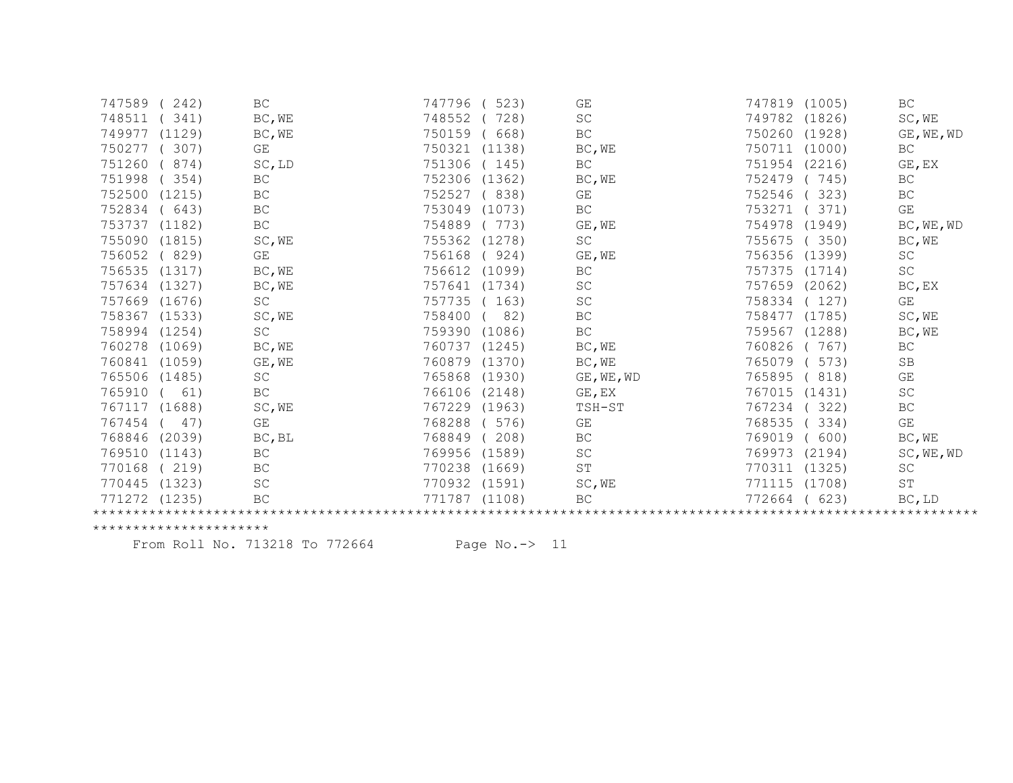| 747589        | 242)   | BC                  | 747796 | 523)   | GE                  | 747819<br>(1005) | $\operatorname{BC}$         |
|---------------|--------|---------------------|--------|--------|---------------------|------------------|-----------------------------|
| 748511        | 341)   | BC, WE              | 748552 | 728)   | $\operatorname{SC}$ | 749782<br>(1826) | SC, WE                      |
| 749977        | (1129) | BC, WE              | 750159 | 668)   | BC                  | 750260<br>(1928) | GE, WE, WD                  |
| 750277        | 307)   | GE                  | 750321 | (1138) | BC, WE              | 750711<br>(1000) | BC                          |
| 751260        | 874)   | SC, LD              | 751306 | (145)  | BC                  | 751954<br>(2216) | GE, EX                      |
| 751998        | 354)   | BC                  | 752306 | (1362) | BC, WE              | 752479<br>745)   | BC                          |
| 752500        | (1215) | $\operatorname{BC}$ | 752527 | 838)   | GE                  | 323)<br>752546   | BC                          |
| 752834        | (643)  | BC                  | 753049 | (1073) | BC                  | 371)<br>753271   | GE                          |
| 753737        | (1182) | $\operatorname{BC}$ | 754889 | 773)   | GE, WE              | 754978<br>(1949) | BC, WE, WD                  |
| 755090        | (1815) | SC, WE              | 755362 | (1278) | $\operatorname{SC}$ | 755675<br>350)   | BC, WE                      |
| 756052        | (829)  | GE                  | 756168 | (924)  | GE, WE              | (1399)<br>756356 | SC                          |
| 756535 (1317) |        | BC, WE              | 756612 | (1099) | BC                  | 757375<br>(1714) | $\operatorname{SC}$         |
| 757634 (1327) |        | BC, WE              | 757641 | (1734) | SC                  | 757659<br>(2062) | $BC$ , $EX$                 |
| 757669 (1676) |        | $\operatorname{SC}$ | 757735 | 163)   | SC                  | 758334<br>127)   | GE                          |
| 758367        | (1533) | SC, WE              | 758400 | 82)    | BC                  | 758477<br>(1785) | SC, WE                      |
| 758994 (1254) |        | $\operatorname{SC}$ | 759390 | (1086) | BC                  | 759567<br>(1288) | BC, WE                      |
| 760278 (1069) |        | BC, WE              | 760737 | (1245) | BC, WE              | 767)<br>760826   | BC                          |
| 760841        | (1059) | GE, WE              | 760879 | (1370) | BC, WE              | 765079<br>573)   | SB                          |
| 765506 (1485) |        | $\operatorname{SC}$ | 765868 | (1930) | GE, WE, WD          | 765895<br>818)   | GE                          |
| 765910        | 61)    | $\operatorname{BC}$ | 766106 | (2148) | GE, EX              | 767015<br>(1431) | SC                          |
| 767117        | (1688) | SC, WE              | 767229 | (1963) | TSH-ST              | 767234<br>322)   | BC                          |
| 767454        | 47)    | GE                  | 768288 | 576)   | GE                  | 768535<br>334)   | GE                          |
| 768846        | (2039) | BC, BL              | 768849 | 208)   | <b>BC</b>           | 769019<br>600)   | BC, WE                      |
| 769510        | (1143) | $\operatorname{BC}$ | 769956 | (1589) | SC                  | 769973<br>(2194) | SC, WE, WD                  |
| 770168        | (219)  | BC                  | 770238 | (1669) | ST                  | 770311<br>(1325) | $\protect\operatorname{SC}$ |
| 770445        | (1323) | SC                  | 770932 | (1591) | SC, WE              | 771115<br>(1708) | $\operatorname{ST}$         |
| 771272        | (1235) | BC                  | 771787 | (1108) | BC                  | 772664<br>623)   | BC, LD                      |
|               |        |                     |        |        |                     |                  |                             |

From Roll No. 713218 To 772664 Page No.-> 11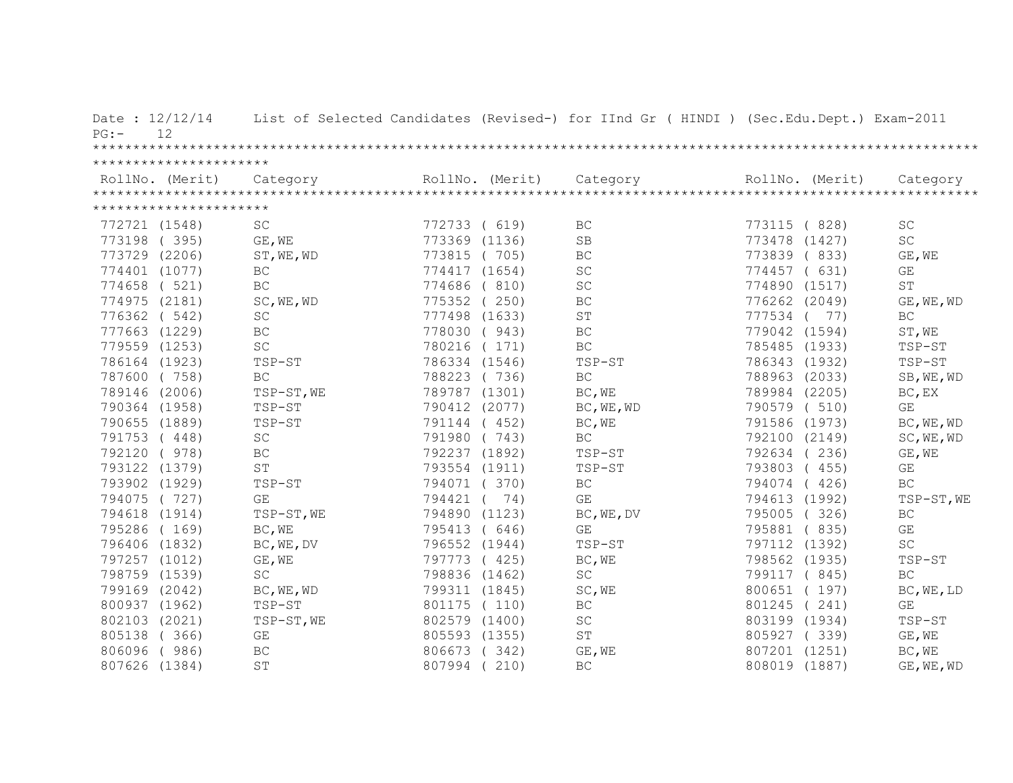| Date: 12/12/14<br>12<br>PG: |                             |               |     | List of Selected Candidates (Revised-) for IInd Gr ( HINDI ) (Sec.Edu.Dept.) Exam-2011 |               |                         |
|-----------------------------|-----------------------------|---------------|-----|----------------------------------------------------------------------------------------|---------------|-------------------------|
| **********************      |                             |               |     |                                                                                        |               |                         |
|                             |                             |               |     |                                                                                        |               |                         |
| **********************      |                             |               |     |                                                                                        |               |                         |
| 772721 (1548)               | <b>SC</b>                   | 772733 ( 619) |     | BC                                                                                     | 773115 (828)  | $\operatorname{SC}$     |
| 773198 (395)                | GE, WE                      | 773369 (1136) |     | SB                                                                                     | 773478 (1427) | <b>SC</b>               |
| 773729 (2206)               | ST, WE, WD                  | 773815 (705)  |     | $\operatorname{BC}$                                                                    | 773839 (833)  | GE, WE                  |
| 774401 (1077)               | BC                          | 774417 (1654) |     | $\operatorname{SC}$                                                                    | 774457 ( 631) | GE                      |
| 774658 ( 521)               | BC                          | 774686 (810)  |     | SC                                                                                     | 774890 (1517) | ST                      |
| 774975 (2181)               | SC, WE, WD                  | 775352 (250)  |     | BC                                                                                     | 776262 (2049) | GE, WE, WD              |
| 776362 ( 542)               | $\protect\operatorname{SC}$ | 777498 (1633) |     | $\mbox{S}\,\mbox{T}$                                                                   | 777534 ( 77)  | $\operatorname{BC}$     |
| 777663 (1229)               | $\operatorname{BC}$         | 778030 (943)  |     | $\operatorname{BC}$                                                                    | 779042 (1594) | ST, WE                  |
| 779559 (1253)               | $\operatorname{SC}$         | 780216 (171)  |     | BC                                                                                     | 785485 (1933) | TSP-ST                  |
| 786164 (1923)               | TSP-ST                      | 786334 (1546) |     | TSP-ST                                                                                 | 786343 (1932) | TSP-ST                  |
| 787600 (758)                | $\operatorname{BC}$         | 788223 (736)  |     | $\operatorname{BC}$                                                                    | 788963 (2033) | SB, WE, WD              |
| 789146 (2006)               | TSP-ST, WE                  | 789787 (1301) |     | BC, WE                                                                                 | 789984 (2205) | BC, EX                  |
| 790364 (1958)               | TSP-ST                      | 790412 (2077) |     | BC, WE, WD                                                                             | 790579 (510)  | GE                      |
| 790655 (1889)               | TSP-ST                      | 791144 (452)  |     | BC, WE                                                                                 | 791586 (1973) | BC, WE, WD              |
| 791753 (448)                | SC                          | 791980 (743)  |     | <b>BC</b>                                                                              | 792100 (2149) | SC, WE, WD              |
| 792120 (978)                | <b>BC</b>                   | 792237 (1892) |     | TSP-ST                                                                                 | 792634 (236)  | GE, WE                  |
| 793122 (1379)               | ST                          | 793554 (1911) |     | TSP-ST                                                                                 | 793803 (455)  | GE                      |
| 793902 (1929)               | TSP-ST                      | 794071 (370)  |     | $\operatorname{BC}$                                                                    | 794074 (426)  | $\operatorname{BC}$     |
| 794075 (727)                | GE                          | 794421 (      | 74) | GE                                                                                     | 794613 (1992) | TSP-ST, WE              |
| 794618 (1914)               | TSP-ST, WE                  | 794890 (1123) |     | BC, WE, DV                                                                             | 795005 (326)  | $\operatorname{BC}$     |
| 795286 (169)                | BC, WE                      | 795413 (646)  |     | GE                                                                                     | 795881 (835)  | $\mathbb{G}\mathcal{E}$ |
| 796406 (1832)               | BC, WE, DV                  | 796552 (1944) |     | TSP-ST                                                                                 | 797112 (1392) | $\operatorname{SC}$     |
| 797257 (1012)               | GE, WE                      | 797773 (425)  |     | BC, WE                                                                                 | 798562 (1935) | TSP-ST                  |
| 798759 (1539)               | SC                          | 798836 (1462) |     | $\operatorname{SC}$                                                                    | 799117 ( 845) | $\operatorname{BC}$     |
| 799169 (2042)               | BC, WE, WD                  | 799311 (1845) |     | SC, WE                                                                                 | 800651 (197)  | BC, WE, LD              |
| 800937 (1962)               | TSP-ST                      | 801175 (110)  |     | BC                                                                                     | 801245 (241)  | GE                      |
| 802103 (2021)               | TSP-ST, WE                  | 802579 (1400) |     | $\operatorname{SC}$                                                                    | 803199 (1934) | $TSP-ST$                |
| 805138<br>(366)             | $\mathbb{G}\mathcal{E}$     | 805593 (1355) |     | $\operatorname{ST}$                                                                    | 805927 (339)  | GE, WE                  |
| 806096<br>(986)             | BC                          | 806673 (342)  |     | GE, WE                                                                                 | 807201 (1251) | BC, WE                  |
| 807626<br>(1384)            | ST                          | 807994 (210)  |     | BC                                                                                     | 808019 (1887) | GE, WE, WD              |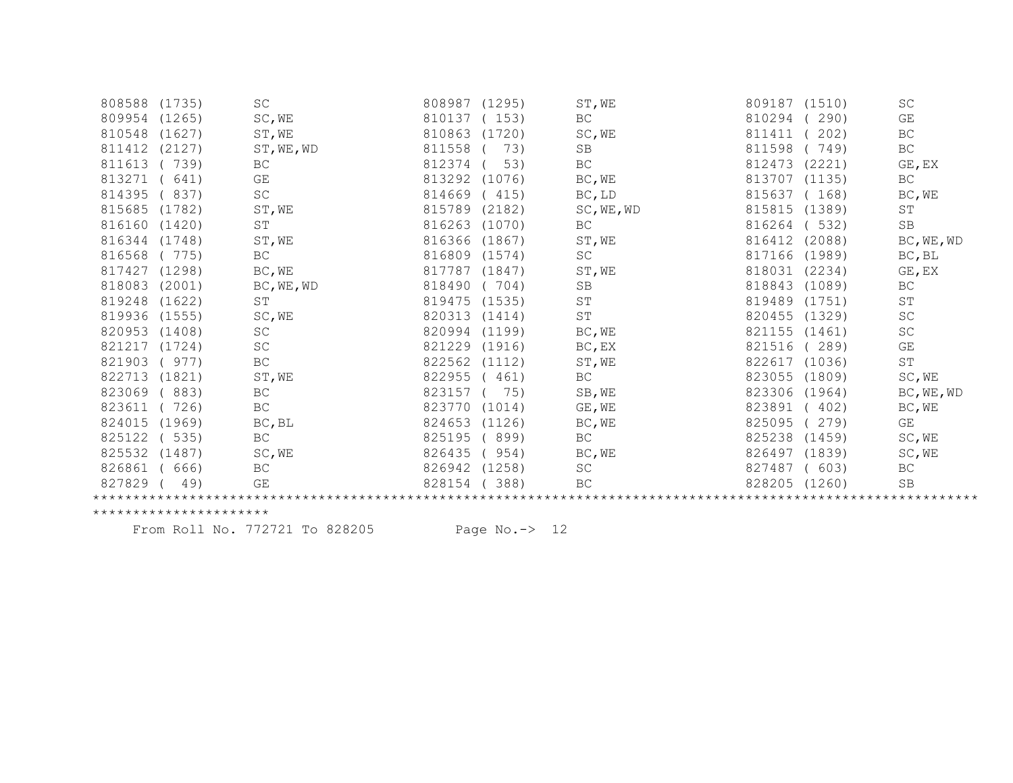| 808588        | (1735) | SC                  | 808987 | (1295) | ST, WE              | 809187 | (1510) | <b>SC</b>  |
|---------------|--------|---------------------|--------|--------|---------------------|--------|--------|------------|
| 809954        | (1265) | SC, WE              | 810137 | (153)  | BC                  | 810294 | 290)   | GE         |
| 810548        | (1627) | ST, WE              | 810863 | (1720) | SC, WE              | 811411 | 202)   | BC         |
| 811412        | (2127) | ST, WE, WD          | 811558 | 73)    | <b>SB</b>           | 811598 | 749)   | BC         |
| 811613        | (739)  | BC                  | 812374 | 53)    | BC                  | 812473 | (2221) | GE, EX     |
| 813271        | 641)   | GE                  | 813292 | (1076) | BC, WE              | 813707 | (1135) | BC         |
| 814395        | 837)   | SC                  | 814669 | (415)  | BC, LD              | 815637 | (168)  | BC, WE     |
| 815685        | (1782) | ST, WE              | 815789 | (2182) | SC, WE, WD          | 815815 | (1389) | ST         |
| 816160        | (1420) | $\operatorname{ST}$ | 816263 | (1070) | <b>BC</b>           | 816264 | 532)   | SB         |
| 816344        | (1748) | ST, WE              | 816366 | (1867) | ST, WE              | 816412 | (2088) | BC, WE, WD |
| 816568        | (775)  | $\operatorname{BC}$ | 816809 | (1574) | SC                  | 817166 | (1989) | BC, BL     |
| 817427        | (1298) | BC, WE              | 817787 | (1847) | ST, WE              | 818031 | (2234) | GE, EX     |
| 818083        | (2001) | BC, WE, WD          | 818490 | 704)   | SB                  | 818843 | (1089) | BC         |
| 819248        | (1622) | ST                  | 819475 | (1535) | <b>ST</b>           | 819489 | (1751) | ST         |
| 819936        | (1555) | SC, WE              | 820313 | (1414) | $\operatorname{ST}$ | 820455 | (1329) | SC         |
| 820953        | (1408) | SC                  | 820994 | (1199) | BC, WE              | 821155 | (1461) | SC         |
| 821217        | (1724) | $\operatorname{SC}$ | 821229 | (1916) | BC, EX              | 821516 | 289)   | GE         |
| 821903        | (977)  | BC                  | 822562 | (1112) | ST, WE              | 822617 | (1036) | ST         |
| 822713        | (1821) | ST, WE              | 822955 | 461)   | BC                  | 823055 | (1809) | SC, WE     |
| 823069        | 883)   | $\operatorname{BC}$ | 823157 | 75)    | SB, WE              | 823306 | (1964) | BC, WE, WD |
| 823611        | 726)   | BC                  | 823770 | (1014) | GE, WE              | 823891 | 402)   | BC, WE     |
| 824015 (1969) |        | BC, BL              | 824653 | (1126) | BC, WE              | 825095 | 279)   | GE         |
| 825122        | (535)  | <b>BC</b>           | 825195 | 899)   | <b>BC</b>           | 825238 | (1459) | SC, WE     |
| 825532        | (1487) | SC, WE              | 826435 | 954)   | BC, WE              | 826497 | (1839) | SC, WE     |
| 826861        | 666)   | $\operatorname{BC}$ | 826942 | (1258) | SC                  | 827487 | 603)   | BC         |
| 827829        | 49)    | GE                  | 828154 | 388)   | BC                  | 828205 | (1260) | SB         |
|               |        |                     |        |        |                     |        |        |            |
|               |        |                     |        |        |                     |        |        |            |

From Roll No. 772721 To 828205 Page No.-> 12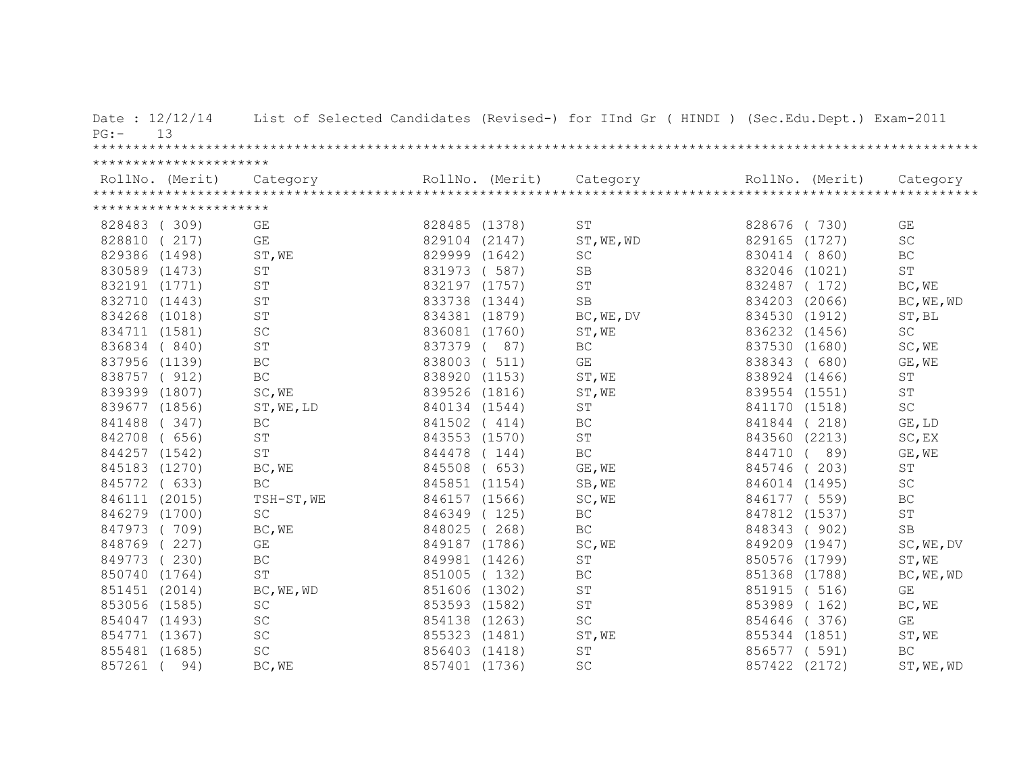| $PG:$ –       | Date: $12/12/14$<br>13 |                      |               |                 | List of Selected Candidates (Revised-) for IInd Gr ( HINDI ) (Sec.Edu.Dept.) Exam-2011 |                  |                         |
|---------------|------------------------|----------------------|---------------|-----------------|----------------------------------------------------------------------------------------|------------------|-------------------------|
|               |                        |                      |               |                 |                                                                                        |                  |                         |
|               | ********************** |                      |               |                 |                                                                                        |                  |                         |
|               | RollNo. (Merit)        | Category             |               | RollNo. (Merit) | Category                                                                               | RollNo. (Merit)  | Category                |
|               |                        |                      |               |                 |                                                                                        |                  |                         |
|               | ********************** |                      |               |                 |                                                                                        |                  |                         |
| 828483 (309)  |                        | GE                   | 828485 (1378) |                 | ST                                                                                     | 828676 (730)     | GE                      |
| 828810        | (217)                  | GE                   | 829104 (2147) |                 | ST, WE, WD                                                                             | 829165 (1727)    | $\operatorname{SC}$     |
| 829386 (1498) |                        | ST, WE               | 829999 (1642) |                 | <b>SC</b>                                                                              | 830414<br>(860)  | <b>BC</b>               |
|               | 830589 (1473)          | ST                   | 831973        | (587)           | <b>SB</b>                                                                              | (1021)<br>832046 | $\mbox{ST}$             |
|               | 832191 (1771)          | ST                   | 832197 (1757) |                 | $\mbox{S}\,\mbox{T}$                                                                   | 832487<br>(172)  | BC, WE                  |
|               | 832710 (1443)          | ST                   | 833738 (1344) |                 | <b>SB</b>                                                                              | 834203<br>(2066) | BC, WE, WD              |
|               | 834268 (1018)          | <b>ST</b>            | 834381 (1879) |                 | BC, WE, DV                                                                             | 834530<br>(1912) | ST, BL                  |
|               | 834711 (1581)          | $\operatorname{SC}$  | 836081 (1760) |                 | ST, WE                                                                                 | 836232<br>(1456) | $\operatorname{SC}$     |
|               | 836834 (840)           | $\mbox{S}\,\mbox{T}$ | 837379        | (87)            | BC                                                                                     | 837530 (1680)    | SC, WE                  |
|               | 837956 (1139)          | $\operatorname{BC}$  | 838003        | (511)           | GE                                                                                     | 838343<br>(680)  | GE, WE                  |
|               | 838757 ( 912)          | BC                   | 838920 (1153) |                 | ST, WE                                                                                 | 838924 (1466)    | ST                      |
|               | 839399 (1807)          | SC, WE               | 839526 (1816) |                 | ST, WE                                                                                 | 839554 (1551)    | $\operatorname{ST}$     |
|               | 839677 (1856)          | ST, WE, LD           | 840134 (1544) |                 | ST                                                                                     | 841170 (1518)    | $\operatorname{SC}$     |
| 841488        | (347)                  | BC                   | 841502 (414)  |                 | BC                                                                                     | 841844<br>(218)  | GE, LD                  |
| 842708        | 656)<br>$\sqrt{2}$     | ST                   | 843553 (1570) |                 | ST                                                                                     | 843560 (2213)    | SC, EX                  |
|               | 844257 (1542)          | $\mbox{S}\,\mbox{T}$ | 844478        | (144)           | BC                                                                                     | 89)<br>844710    | GE, WE                  |
|               | 845183 (1270)          | BC, WE               | 845508        | (653)           | GE, WE                                                                                 | 845746<br>(203)  | ST                      |
| 845772 ( 633) |                        | <b>BC</b>            | 845851 (1154) |                 | SB, WE                                                                                 | 846014 (1495)    | SC                      |
| 846111 (2015) |                        | TSH-ST, WE           | 846157 (1566) |                 | SC, WE                                                                                 | 846177 (559)     | BC                      |
| 846279 (1700) |                        | SC                   | 846349        | (125)           | $\operatorname{BC}$                                                                    | 847812<br>(1537) | $\operatorname{ST}$     |
| 847973 (709)  |                        | BC, WE               | 848025        | (268)           | <b>BC</b>                                                                              | 848343<br>(902)  | $\rm SB$                |
| 848769 (227)  |                        | GE                   | 849187 (1786) |                 | SC, WE                                                                                 | 849209 (1947)    | SC, WE, DV              |
| 849773        | (230)                  | $\operatorname{BC}$  | 849981 (1426) |                 | ST                                                                                     | 850576 (1799)    | ST, WE                  |
| 850740 (1764) |                        | ST                   | 851005 (132)  |                 | $\operatorname{BC}$                                                                    | 851368 (1788)    | BC, WE, WD              |
| 851451 (2014) |                        | BC, WE, WD           | 851606 (1302) |                 | ST                                                                                     | 851915<br>(516)  | GE                      |
|               | 853056 (1585)          | $\operatorname{SC}$  | 853593 (1582) |                 | $\mbox{ST}$                                                                            | 853989<br>(162)  | BC, WE                  |
|               | 854047 (1493)          | $\operatorname{SC}$  | 854138 (1263) |                 | SC                                                                                     | 854646<br>(376)  | $\mathbb{G}\mathcal{E}$ |
| 854771 (1367) |                        | $\operatorname{SC}$  | 855323 (1481) |                 | ST, WE                                                                                 | 855344 (1851)    | ST, WE                  |
| 855481 (1685) |                        | $\operatorname{SC}$  | 856403 (1418) |                 | ST                                                                                     | 856577 ( 591)    | <b>BC</b>               |
| 857261        | 94)                    | BC, WE               | 857401 (1736) |                 | SC                                                                                     | 857422 (2172)    | ST, WE, WD              |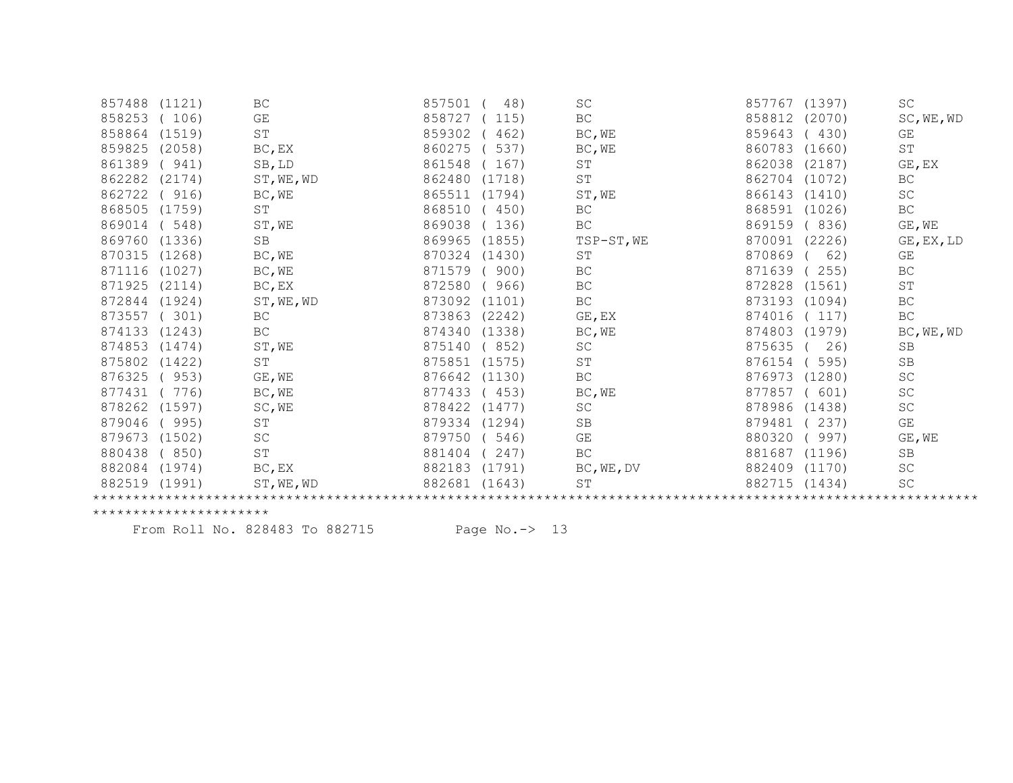| 857488        | (1121) | BC                  | 857501 | 48)    | <b>SC</b>            | 857767 | (1397) | SC                          |  |
|---------------|--------|---------------------|--------|--------|----------------------|--------|--------|-----------------------------|--|
| 858253        | 106)   | GE                  | 858727 | 115)   | BC                   | 858812 | (2070) | SC, WE, WD                  |  |
| 858864        | (1519) | ST                  | 859302 | 462)   | BC, WE               | 859643 | 430)   | GE                          |  |
| 859825        | (2058) | $BC$ , $EX$         | 860275 | 537)   | BC, WE               | 860783 | (1660) | ST                          |  |
| 861389        | (941)  | SB, LD              | 861548 | 167)   | $\operatorname{ST}$  | 862038 | (2187) | GE, EX                      |  |
| 862282        | (2174) | ST, WE, WD          | 862480 | (1718) | $\operatorname{ST}$  | 862704 | (1072) | BC                          |  |
| 862722        | (916)  | BC, WE              | 865511 | (1794) | ST, WE               | 866143 | (1410) | $\operatorname{SC}$         |  |
| 868505        | (1759) | ST                  | 868510 | 450)   | BC                   | 868591 | (1026) | BC                          |  |
| 869014        | 548)   | ST, WE              | 869038 | 136)   | BC                   | 869159 | 836)   | GE, WE                      |  |
| 869760 (1336) |        | SB                  | 869965 | (1855) | TSP-ST, WE           | 870091 | (2226) | $GE$ , $EX$ , $LD$          |  |
| 870315 (1268) |        | BC, WE              | 870324 | (1430) | ST                   | 870869 | 62)    | GE                          |  |
| 871116        | (1027) | BC, WE              | 871579 | 900)   | BC                   | 871639 | 255)   | $\operatorname{BC}$         |  |
| 871925        | (2114) | BC, EX              | 872580 | 966)   | BC                   | 872828 | (1561) | ST                          |  |
| 872844        | (1924) | ST, WE, WD          | 873092 | (1101) | BC                   | 873193 | (1094) | BC                          |  |
| 873557        | 301)   | <b>BC</b>           | 873863 | (2242) | GE, EX               | 874016 | 117)   | BC                          |  |
| 874133        | (1243) | BC                  | 874340 | (1338) | BC, WE               | 874803 | (1979) | BC, WE, WD                  |  |
| 874853        | (1474) | ST, WE              | 875140 | 852)   | SC                   | 875635 | 26)    | <b>SB</b>                   |  |
| 875802        | (1422) | SΤ                  | 875851 | (1575) | $\mbox{S}\,\mbox{T}$ | 876154 | 595)   | $\operatorname{SB}$         |  |
| 876325        | 953)   | GE, WE              | 876642 | (1130) | BC                   | 876973 | (1280) | $\operatorname{SC}$         |  |
| 877431        | 776)   | BC, WE              | 877433 | 453)   | BC, WE               | 877857 | 601)   | SC                          |  |
| 878262        | (1597) | SC, WE              | 878422 | (1477) | SC                   | 878986 | (1438) | $\protect\operatorname{SC}$ |  |
| 879046        | (995)  | $\operatorname{ST}$ | 879334 | (1294) | SB                   | 879481 | 237)   | $\mathbb{G}\mathcal{E}$     |  |
| 879673        | (1502) | $\operatorname{SC}$ | 879750 | 546)   | GE                   | 880320 | 997)   | GE, WE                      |  |
| 880438        | 850)   | $\operatorname{ST}$ | 881404 | 247)   | BC                   | 881687 | (1196) | SB                          |  |
| 882084 (1974) |        | BC, EX              | 882183 | (1791) | BC, WE, DV           | 882409 | (1170) | $\protect\operatorname{SC}$ |  |
| 882519 (1991) |        | ST, WE, WD          | 882681 | (1643) | ST                   | 882715 | (1434) | SC                          |  |
|               |        |                     |        |        |                      |        |        |                             |  |

From Roll No. 828483 To 882715 Page No.-> 13